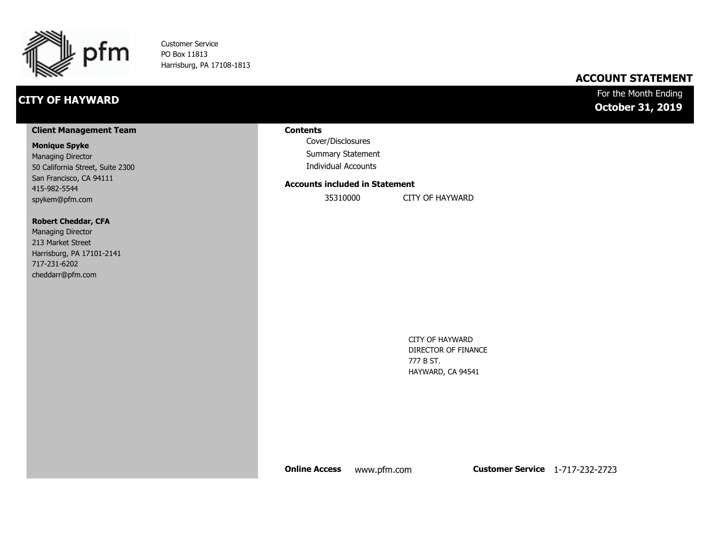

Customer Service PO Box 11813 Harrisburg, PA 17108-1813

# **CITY OF HAYWARD**

### **ACCOUNT STATEMENT**

### For the Month Ending **October 31, 2019**

#### **Client Management Team**

#### **Monique Spyke**

Managing Director 50 California Street, Suite 2300 San Francisco, CA 94111 415-982-5544 spykem@pfm.com

#### **Robert Cheddar, CFA**

| <b>Managing Director</b>  |
|---------------------------|
| 213 Market Street         |
| Harrisburg, PA 17101-2141 |
| 717-231-6202              |
| cheddarr@pfm.com          |

#### **Contents**

Cover/Disclosures Summary Statement Individual Accounts

#### **Accounts included in Statement**

35310000 CITY OF HAYWARD

CITY OF HAYWARD DIRECTOR OF FINANCE 777 B ST. HAYWARD, CA 94541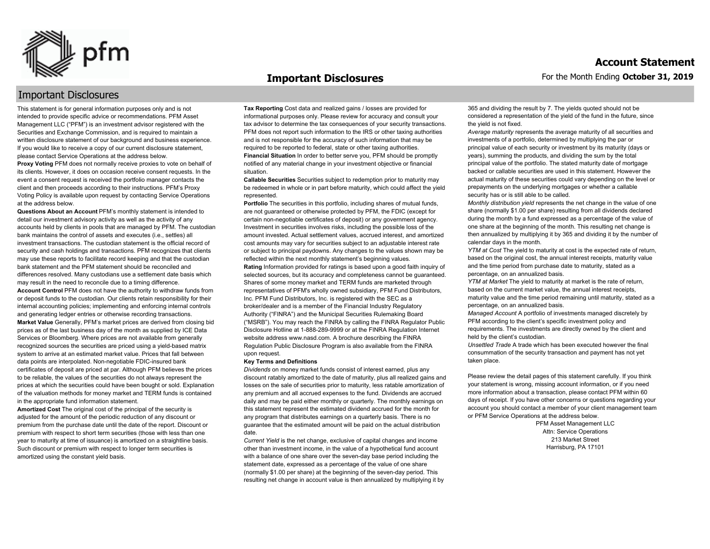

#### **Important Disclosures**

### Important Disclosures

This statement is for general information purposes only and is not intended to provide specific advice or recommendations. PFM Asset Management LLC ("PFM") is an investment advisor registered with the Securities and Exchange Commission, and is required to maintain a written disclosure statement of our background and business experience. If you would like to receive a copy of our current disclosure statement, please contact Service Operations at the address below.

**Proxy Voting** PFM does not normally receive proxies to vote on behalf of its clients. However, it does on occasion receive consent requests. In the event a consent request is received the portfolio manager contacts the client and then proceeds according to their instructions. PFM's Proxy Voting Policy is available upon request by contacting Service Operations at the address below.

**Questions About an Account** PFM's monthly statement is intended to detail our investment advisory activity as well as the activity of any accounts held by clients in pools that are managed by PFM. The custodian bank maintains the control of assets and executes (i.e., settles) all investment transactions. The custodian statement is the official record of security and cash holdings and transactions. PFM recognizes that clients may use these reports to facilitate record keeping and that the custodian bank statement and the PFM statement should be reconciled and differences resolved. Many custodians use a settlement date basis which may result in the need to reconcile due to a timing difference. **Account Control** PFM does not have the authority to withdraw funds from or deposit funds to the custodian. Our clients retain responsibility for their internal accounting policies; implementing and enforcing internal controls and generating ledger entries or otherwise recording transactions. **Market Value** Generally, PFM's market prices are derived from closing bid prices as of the last business day of the month as supplied by ICE Data Services or Bloomberg. Where prices are not available from generally recognized sources the securities are priced using a yield-based matrix system to arrive at an estimated market value. Prices that fall between data points are interpolated. Non-negotiable FDIC-insured bank certificates of deposit are priced at par. Although PFM believes the prices to be reliable, the values of the securities do not always represent the prices at which the securities could have been bought or sold. Explanation of the valuation methods for money market and TERM funds is contained in the appropriate fund information statement.

**Amortized Cost** The original cost of the principal of the security is adjusted for the amount of the periodic reduction of any discount or premium from the purchase date until the date of the report. Discount or premium with respect to short term securities (those with less than one year to maturity at time of issuance) is amortized on a straightline basis. Such discount or premium with respect to longer term securities is amortized using the constant yield basis.

**Tax Reporting** Cost data and realized gains / losses are provided for informational purposes only. Please review for accuracy and consult your tax advisor to determine the tax consequences of your security transactions. PFM does not report such information to the IRS or other taxing authorities and is not responsible for the accuracy of such information that may be required to be reported to federal, state or other taxing authorities. **Financial Situation** In order to better serve you, PFM should be promptly notified of any material change in your investment objective or financial situation.

**Callable Securities** Securities subject to redemption prior to maturity may be redeemed in whole or in part before maturity, which could affect the yield represented.

Portfolio The securities in this portfolio, including shares of mutual funds, are not guaranteed or otherwise protected by PFM, the FDIC (except for certain non-negotiable certificates of deposit) or any government agency. Investment in securities involves risks, including the possible loss of the amount invested. Actual settlement values, accrued interest, and amortized cost amounts may vary for securities subject to an adjustable interest rate or subject to principal paydowns. Any changes to the values shown may be reflected within the next monthly statement's beginning values. **Rating** Information provided for ratings is based upon a good faith inquiry of selected sources, but its accuracy and completeness cannot be guaranteed. Shares of some money market and TERM funds are marketed through representatives of PFM's wholly owned subsidiary, PFM Fund Distributors, Inc. PFM Fund Distributors, Inc. is registered with the SEC as a broker/dealer and is a member of the Financial Industry Regulatory Authority ("FINRA") and the Municipal Securities Rulemaking Board ("MSRB"). You may reach the FINRA by calling the FINRA Regulator Public Disclosure Hotline at 1-888-289-9999 or at the FINRA Regulation Internet website address www.nasd.com. A brochure describing the FINRA Regulation Public Disclosure Program is also available from the FINRA upon request.

#### **Key Terms and Definitions**

*Dividends* on money market funds consist of interest earned, plus any discount ratably amortized to the date of maturity, plus all realized gains and losses on the sale of securities prior to maturity, less ratable amortization of any premium and all accrued expenses to the fund. Dividends are accrued daily and may be paid either monthly or quarterly. The monthly earnings on this statement represent the estimated dividend accrued for the month for any program that distributes earnings on a quarterly basis. There is no guarantee that the estimated amount will be paid on the actual distribution date.

*Current Yield* is the net change, exclusive of capital changes and income other than investment income, in the value of a hypothetical fund account with a balance of one share over the seven-day base period including the statement date, expressed as a percentage of the value of one share (normally \$1.00 per share) at the beginning of the seven-day period. This resulting net change in account value is then annualized by multiplying it by 365 and dividing the result by 7. The yields quoted should not be considered a representation of the yield of the fund in the future, since the yield is not fixed.

*Average maturity* represents the average maturity of all securities and investments of a portfolio, determined by multiplying the par or principal value of each security or investment by its maturity (days or years), summing the products, and dividing the sum by the total principal value of the portfolio. The stated maturity date of mortgage backed or callable securities are used in this statement. However the actual maturity of these securities could vary depending on the level or prepayments on the underlying mortgages or whether a callable security has or is still able to be called.

*Monthly distribution yield* represents the net change in the value of one share (normally \$1.00 per share) resulting from all dividends declared during the month by a fund expressed as a percentage of the value of one share at the beginning of the month. This resulting net change is then annualized by multiplying it by 365 and dividing it by the number of calendar days in the month.

*YTM at Cost* The yield to maturity at cost is the expected rate of return, based on the original cost, the annual interest receipts, maturity value and the time period from purchase date to maturity, stated as a percentage, on an annualized basis.

*YTM at Market* The yield to maturity at market is the rate of return, based on the current market value, the annual interest receipts, maturity value and the time period remaining until maturity, stated as a percentage, on an annualized basis.

*Managed Account* A portfolio of investments managed discretely by PFM according to the client's specific investment policy and requirements. The investments are directly owned by the client and held by the client's custodian.

*Unsettled Trade* A trade which has been executed however the final consummation of the security transaction and payment has not yet taken place.

Please review the detail pages of this statement carefully. If you think your statement is wrong, missing account information, or if you need more information about a transaction, please contact PFM within 60 days of receipt. If you have other concerns or questions regarding your account you should contact a member of your client management team or PFM Service Operations at the address below.

> PFM Asset Management LLC Attn: Service Operations 213 Market Street Harrisburg, PA 17101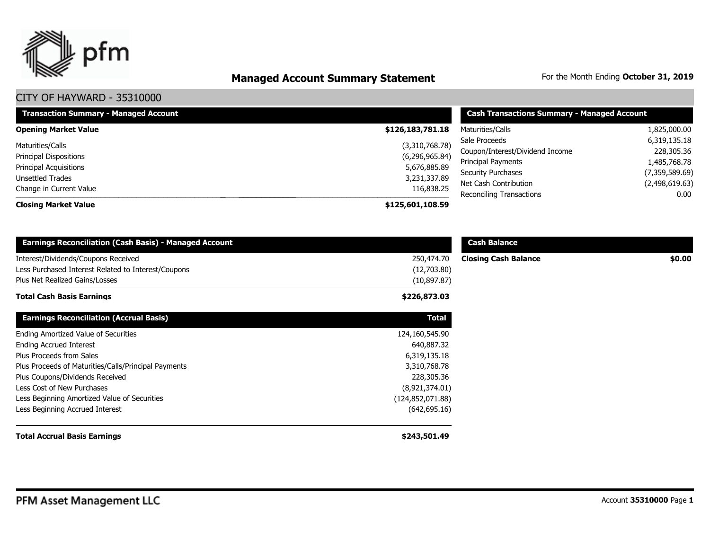

# **Managed Account Summary Statement** For the Month Ending October 31, 2019

| <b>Transaction Summary - Managed Account</b>                   | <b>Cash Transactions Summary - Managed Account</b> |                                                       |                            |
|----------------------------------------------------------------|----------------------------------------------------|-------------------------------------------------------|----------------------------|
| <b>Opening Market Value</b>                                    | \$126,183,781.18                                   | Maturities/Calls                                      | 1,825,000.00               |
| Maturities/Calls                                               | (3,310,768,78)                                     | Sale Proceeds                                         | 6,319,135.18               |
| <b>Principal Dispositions</b><br><b>Principal Acquisitions</b> | (6,296,965.84)                                     | Coupon/Interest/Dividend Income<br>Principal Payments | 228,305.36                 |
|                                                                | 5,676,885.89                                       |                                                       | 1,485,768.78               |
| Unsettled Trades                                               | 3,231,337.89                                       | <b>Security Purchases</b>                             | (7,359,589.69)             |
| Change in Current Value                                        | 116,838.25                                         | Net Cash Contribution<br>Reconciling Transactions     | (2,498,619.63)<br>$0.00\,$ |
| <b>Closing Market Value</b>                                    | \$125,601,108.59                                   |                                                       |                            |

| <b>Earnings Reconciliation (Cash Basis) - Managed Account</b>                              |                           | <b>Cash Balance</b>         |        |
|--------------------------------------------------------------------------------------------|---------------------------|-----------------------------|--------|
| Interest/Dividends/Coupons Received<br>Less Purchased Interest Related to Interest/Coupons | 250,474.70<br>(12,703.80) | <b>Closing Cash Balance</b> | \$0.00 |
| Plus Net Realized Gains/Losses                                                             | (10, 897.87)              |                             |        |
| <b>Total Cash Basis Earnings</b>                                                           | \$226,873.03              |                             |        |
| <b>Earnings Reconciliation (Accrual Basis)</b>                                             | <b>Total</b>              |                             |        |
| Ending Amortized Value of Securities                                                       | 124,160,545.90            |                             |        |
| <b>Ending Accrued Interest</b>                                                             | 640,887.32                |                             |        |
| Plus Proceeds from Sales                                                                   | 6,319,135.18              |                             |        |
| Plus Proceeds of Maturities/Calls/Principal Payments                                       | 3,310,768.78              |                             |        |
| Plus Coupons/Dividends Received                                                            | 228,305.36                |                             |        |
| Less Cost of New Purchases                                                                 | (8,921,374.01)            |                             |        |
| Less Beginning Amortized Value of Securities                                               | (124, 852, 071.88)        |                             |        |
| Less Beginning Accrued Interest                                                            | (642, 695.16)             |                             |        |
| <b>Total Accrual Basis Earnings</b>                                                        | \$243,501.49              |                             |        |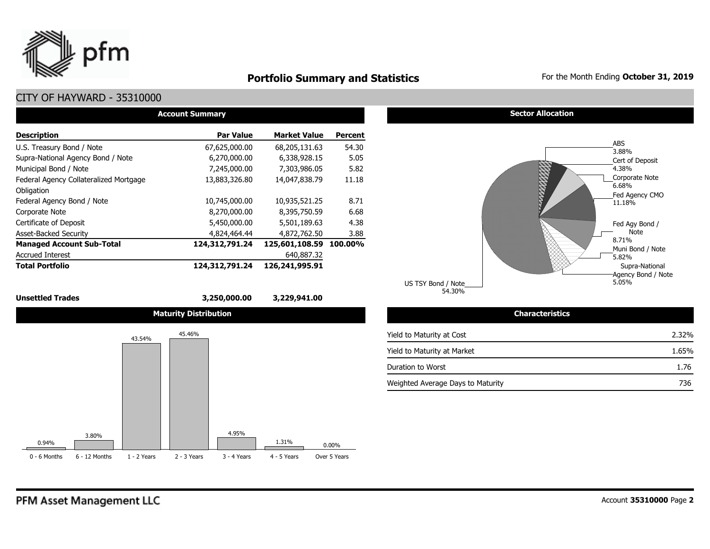

# **Portfolio Summary and Statistics** For the Month Ending October 31, 2019

### CITY OF HAYWARD - 35310000

| <b>Account Summary</b>                 |                  |                     |                |  |  |  |  |  |  |  |
|----------------------------------------|------------------|---------------------|----------------|--|--|--|--|--|--|--|
| <b>Description</b>                     | <b>Par Value</b> | <b>Market Value</b> | <b>Percent</b> |  |  |  |  |  |  |  |
| U.S. Treasury Bond / Note              | 67,625,000.00    | 68,205,131.63       | 54.30          |  |  |  |  |  |  |  |
| Supra-National Agency Bond / Note      | 6,270,000.00     | 6,338,928.15        | 5.05           |  |  |  |  |  |  |  |
| Municipal Bond / Note                  | 7,245,000.00     | 7,303,986.05        | 5.82           |  |  |  |  |  |  |  |
| Federal Agency Collateralized Mortgage | 13,883,326.80    | 14,047,838.79       | 11.18          |  |  |  |  |  |  |  |
| Obligation                             |                  |                     |                |  |  |  |  |  |  |  |
| Federal Agency Bond / Note             | 10,745,000.00    | 10,935,521.25       | 8.71           |  |  |  |  |  |  |  |
| Corporate Note                         | 8,270,000.00     | 8,395,750.59        | 6.68           |  |  |  |  |  |  |  |
| Certificate of Deposit                 | 5,450,000.00     | 5,501,189.63        | 4.38           |  |  |  |  |  |  |  |
| <b>Asset-Backed Security</b>           | 4,824,464.44     | 4,872,762.50        | 3.88           |  |  |  |  |  |  |  |
| <b>Managed Account Sub-Total</b>       | 124,312,791.24   | 125,601,108.59      | 100.00%        |  |  |  |  |  |  |  |
| <b>Accrued Interest</b>                |                  | 640,887.32          |                |  |  |  |  |  |  |  |
| <b>Total Portfolio</b>                 | 124,312,791.24   | 126,241,995.91      |                |  |  |  |  |  |  |  |

#### **Unsettled Trades 3,250,000.00 3,229,941.00**



#### **Sector Allocation**



| <b>Characteristics</b>            |       |
|-----------------------------------|-------|
| Yield to Maturity at Cost         | 2.32% |
| Yield to Maturity at Market       | 1.65% |
| Duration to Worst                 | 1.76  |
| Weighted Average Days to Maturity | 736   |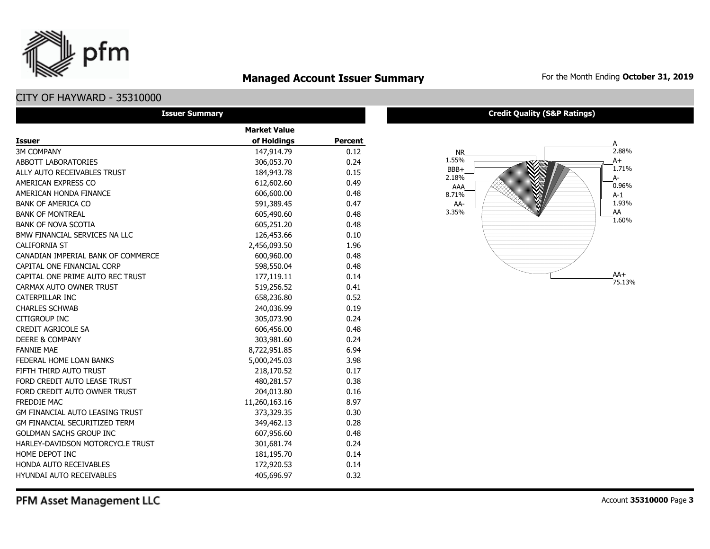

# **Managed Account Issuer Summary** For the Month Ending October 31, 2019

### CITY OF HAYWARD - 35310000

| <b>Issuer Summary</b>                  |                     |                |
|----------------------------------------|---------------------|----------------|
|                                        | <b>Market Value</b> |                |
| <b>Issuer</b>                          | of Holdings         | <b>Percent</b> |
| <b>3M COMPANY</b>                      | 147,914.79          | 0.12           |
| <b>ABBOTT LABORATORIES</b>             | 306,053.70          | 0.24           |
| ALLY AUTO RECEIVABLES TRUST            | 184,943.78          | 0.15           |
| AMERICAN EXPRESS CO                    | 612,602.60          | 0.49           |
| AMERICAN HONDA FINANCE                 | 606,600.00          | 0.48           |
| <b>BANK OF AMERICA CO</b>              | 591,389.45          | 0.47           |
| <b>BANK OF MONTREAL</b>                | 605,490.60          | 0.48           |
| <b>BANK OF NOVA SCOTIA</b>             | 605,251.20          | 0.48           |
| BMW FINANCIAL SERVICES NA LLC          | 126,453.66          | 0.10           |
| <b>CALIFORNIA ST</b>                   | 2,456,093.50        | 1.96           |
| CANADIAN IMPERIAL BANK OF COMMERCE     | 600,960.00          | 0.48           |
| CAPITAL ONE FINANCIAL CORP             | 598,550.04          | 0.48           |
| CAPITAL ONE PRIME AUTO REC TRUST       | 177,119.11          | 0.14           |
| CARMAX AUTO OWNER TRUST                | 519,256.52          | 0.41           |
| <b>CATERPILLAR INC</b>                 | 658,236.80          | 0.52           |
| <b>CHARLES SCHWAB</b>                  | 240,036.99          | 0.19           |
| <b>CITIGROUP INC</b>                   | 305,073.90          | 0.24           |
| <b>CREDIT AGRICOLE SA</b>              | 606,456.00          | 0.48           |
| <b>DEERE &amp; COMPANY</b>             | 303,981.60          | 0.24           |
| <b>FANNIE MAE</b>                      | 8,722,951.85        | 6.94           |
| FEDERAL HOME LOAN BANKS                | 5,000,245.03        | 3.98           |
| FIFTH THIRD AUTO TRUST                 | 218,170.52          | 0.17           |
| FORD CREDIT AUTO LEASE TRUST           | 480,281.57          | 0.38           |
| FORD CREDIT AUTO OWNER TRUST           | 204,013.80          | 0.16           |
| <b>FREDDIE MAC</b>                     | 11,260,163.16       | 8.97           |
| <b>GM FINANCIAL AUTO LEASING TRUST</b> | 373,329.35          | 0.30           |
| <b>GM FINANCIAL SECURITIZED TERM</b>   | 349,462.13          | 0.28           |
| <b>GOLDMAN SACHS GROUP INC</b>         | 607,956.60          | 0.48           |
| HARLEY-DAVIDSON MOTORCYCLE TRUST       | 301,681.74          | 0.24           |
| HOME DEPOT INC                         | 181,195.70          | 0.14           |
| <b>HONDA AUTO RECEIVABLES</b>          | 172,920.53          | 0.14           |
| <b>HYUNDAI AUTO RECEIVABLES</b>        | 405,696.97          | 0.32           |

#### **Credit Quality (S&P Ratings)**



PFM Asset Management LLC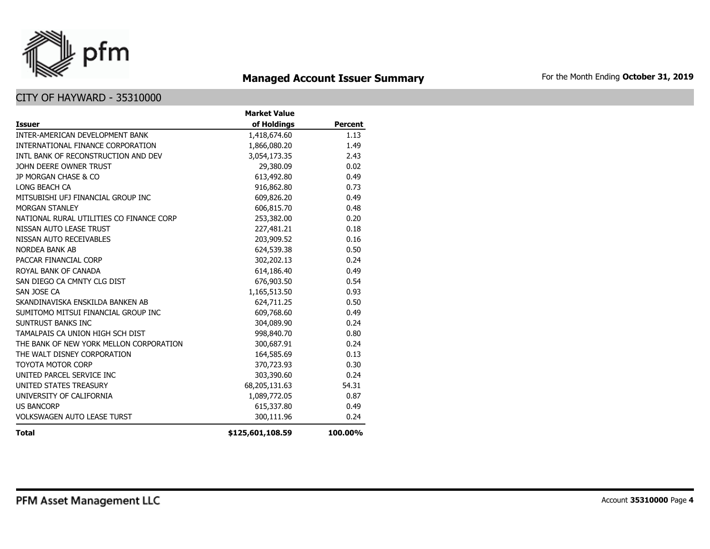

# **Managed Account Issuer Summary** For the Month Ending October 31, 2019

|                                          | <b>Market Value</b> |                |
|------------------------------------------|---------------------|----------------|
| <b>Issuer</b>                            | of Holdings         | <b>Percent</b> |
| INTER-AMERICAN DEVELOPMENT BANK          | 1,418,674.60        | 1.13           |
| INTERNATIONAL FINANCE CORPORATION        | 1,866,080.20        | 1.49           |
| INTL BANK OF RECONSTRUCTION AND DEV      | 3,054,173.35        | 2.43           |
| JOHN DEERE OWNER TRUST                   | 29,380.09           | 0.02           |
| JP MORGAN CHASE & CO                     | 613,492.80          | 0.49           |
| LONG BEACH CA                            | 916,862.80          | 0.73           |
| MITSUBISHI UFJ FINANCIAL GROUP INC       | 609,826.20          | 0.49           |
| <b>MORGAN STANLEY</b>                    | 606,815.70          | 0.48           |
| NATIONAL RURAL UTILITIES CO FINANCE CORP | 253,382.00          | 0.20           |
| NISSAN AUTO LEASE TRUST                  | 227,481.21          | 0.18           |
| NISSAN AUTO RECEIVABLES                  | 203,909.52          | 0.16           |
| <b>NORDEA BANK AB</b>                    | 624,539.38          | 0.50           |
| PACCAR FINANCIAL CORP                    | 302,202.13          | 0.24           |
| ROYAL BANK OF CANADA                     | 614,186.40          | 0.49           |
| SAN DIEGO CA CMNTY CLG DIST              | 676,903.50          | 0.54           |
| SAN JOSE CA                              | 1,165,513.50        | 0.93           |
| SKANDINAVISKA ENSKILDA BANKEN AB         | 624,711.25          | 0.50           |
| SUMITOMO MITSUI FINANCIAL GROUP INC      | 609,768.60          | 0.49           |
| SUNTRUST BANKS INC                       | 304,089.90          | 0.24           |
| TAMALPAIS CA UNION HIGH SCH DIST         | 998,840.70          | 0.80           |
| THE BANK OF NEW YORK MELLON CORPORATION  | 300,687.91          | 0.24           |
| THE WALT DISNEY CORPORATION              | 164,585.69          | 0.13           |
| <b>TOYOTA MOTOR CORP</b>                 | 370,723.93          | 0.30           |
| UNITED PARCEL SERVICE INC                | 303,390.60          | 0.24           |
| UNITED STATES TREASURY                   | 68,205,131.63       | 54.31          |
| UNIVERSITY OF CALIFORNIA                 | 1,089,772.05        | 0.87           |
| <b>US BANCORP</b>                        | 615,337.80          | 0.49           |
| <b>VOLKSWAGEN AUTO LEASE TURST</b>       | 300,111.96          | 0.24           |
| <b>Total</b>                             | \$125,601,108.59    | 100.00%        |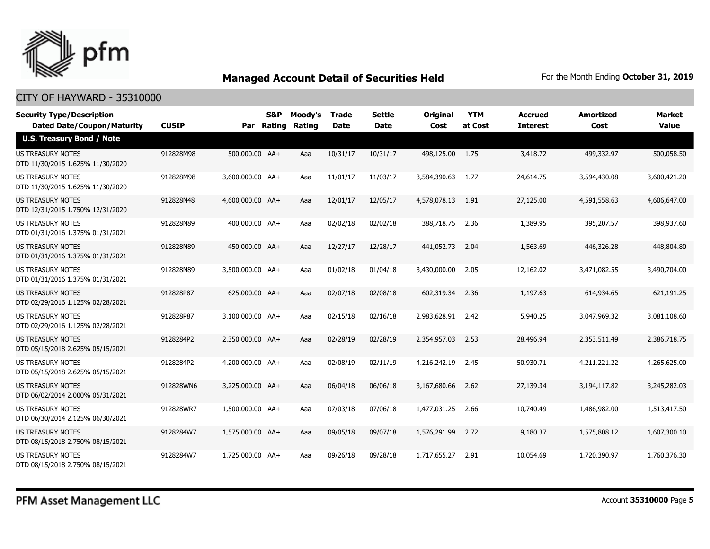

| <b>Security Type/Description</b><br><b>Dated Date/Coupon/Maturity</b> | <b>CUSIP</b> | Par              | S&P<br><b>Rating</b> | Moody's<br>Rating | <b>Trade</b><br><b>Date</b> | <b>Settle</b><br><b>Date</b> | <b>Original</b><br>Cost | <b>YTM</b><br>at Cost | <b>Accrued</b><br><b>Interest</b> | <b>Amortized</b><br>Cost | <b>Market</b><br><b>Value</b> |
|-----------------------------------------------------------------------|--------------|------------------|----------------------|-------------------|-----------------------------|------------------------------|-------------------------|-----------------------|-----------------------------------|--------------------------|-------------------------------|
| <b>U.S. Treasury Bond / Note</b>                                      |              |                  |                      |                   |                             |                              |                         |                       |                                   |                          |                               |
| <b>US TREASURY NOTES</b><br>DTD 11/30/2015 1.625% 11/30/2020          | 912828M98    | 500,000.00 AA+   |                      | Aaa               | 10/31/17                    | 10/31/17                     | 498,125.00 1.75         |                       | 3,418.72                          | 499,332.97               | 500,058.50                    |
| US TREASURY NOTES<br>DTD 11/30/2015 1.625% 11/30/2020                 | 912828M98    | 3,600,000.00 AA+ |                      | Aaa               | 11/01/17                    | 11/03/17                     | 3,584,390.63            | 1.77                  | 24,614.75                         | 3,594,430.08             | 3,600,421.20                  |
| US TREASURY NOTES<br>DTD 12/31/2015 1.750% 12/31/2020                 | 912828N48    | 4,600,000.00 AA+ |                      | Aaa               | 12/01/17                    | 12/05/17                     | 4,578,078.13            | 1.91                  | 27,125.00                         | 4,591,558.63             | 4,606,647.00                  |
| US TREASURY NOTES<br>DTD 01/31/2016 1.375% 01/31/2021                 | 912828N89    | 400,000.00 AA+   |                      | Aaa               | 02/02/18                    | 02/02/18                     | 388,718.75              | 2.36                  | 1,389.95                          | 395,207.57               | 398,937.60                    |
| <b>US TREASURY NOTES</b><br>DTD 01/31/2016 1.375% 01/31/2021          | 912828N89    | 450,000.00 AA+   |                      | Aaa               | 12/27/17                    | 12/28/17                     | 441,052.73              | 2.04                  | 1,563.69                          | 446,326.28               | 448,804.80                    |
| <b>US TREASURY NOTES</b><br>DTD 01/31/2016 1.375% 01/31/2021          | 912828N89    | 3,500,000.00 AA+ |                      | Aaa               | 01/02/18                    | 01/04/18                     | 3,430,000.00            | 2.05                  | 12,162.02                         | 3,471,082.55             | 3,490,704.00                  |
| <b>US TREASURY NOTES</b><br>DTD 02/29/2016 1.125% 02/28/2021          | 912828P87    | 625,000.00 AA+   |                      | Aaa               | 02/07/18                    | 02/08/18                     | 602,319.34              | 2.36                  | 1,197.63                          | 614,934.65               | 621,191.25                    |
| US TREASURY NOTES<br>DTD 02/29/2016 1.125% 02/28/2021                 | 912828P87    | 3,100,000.00 AA+ |                      | Aaa               | 02/15/18                    | 02/16/18                     | 2,983,628.91 2.42       |                       | 5,940.25                          | 3,047,969.32             | 3,081,108.60                  |
| US TREASURY NOTES<br>DTD 05/15/2018 2.625% 05/15/2021                 | 9128284P2    | 2,350,000.00 AA+ |                      | Aaa               | 02/28/19                    | 02/28/19                     | 2,354,957.03            | 2.53                  | 28,496.94                         | 2,353,511.49             | 2,386,718.75                  |
| <b>US TREASURY NOTES</b><br>DTD 05/15/2018 2.625% 05/15/2021          | 9128284P2    | 4.200.000.00 AA+ |                      | Aaa               | 02/08/19                    | 02/11/19                     | 4,216,242.19            | 2.45                  | 50,930.71                         | 4,211,221.22             | 4,265,625.00                  |
| <b>US TREASURY NOTES</b><br>DTD 06/02/2014 2.000% 05/31/2021          | 912828WN6    | 3,225,000.00 AA+ |                      | Aaa               | 06/04/18                    | 06/06/18                     | 3,167,680,66            | 2.62                  | 27,139.34                         | 3,194,117.82             | 3,245,282.03                  |
| <b>US TREASURY NOTES</b><br>DTD 06/30/2014 2.125% 06/30/2021          | 912828WR7    | 1,500,000.00 AA+ |                      | Aaa               | 07/03/18                    | 07/06/18                     | 1,477,031.25            | 2.66                  | 10,740.49                         | 1,486,982.00             | 1,513,417.50                  |
| <b>US TREASURY NOTES</b><br>DTD 08/15/2018 2.750% 08/15/2021          | 9128284W7    | 1,575,000.00 AA+ |                      | Aaa               | 09/05/18                    | 09/07/18                     | 1,576,291.99            | 2.72                  | 9,180.37                          | 1,575,808.12             | 1,607,300.10                  |
| <b>US TREASURY NOTES</b><br>DTD 08/15/2018 2.750% 08/15/2021          | 9128284W7    | 1,725,000.00 AA+ |                      | Aaa               | 09/26/18                    | 09/28/18                     | 1,717,655,27            | 2.91                  | 10,054.69                         | 1,720,390.97             | 1,760,376.30                  |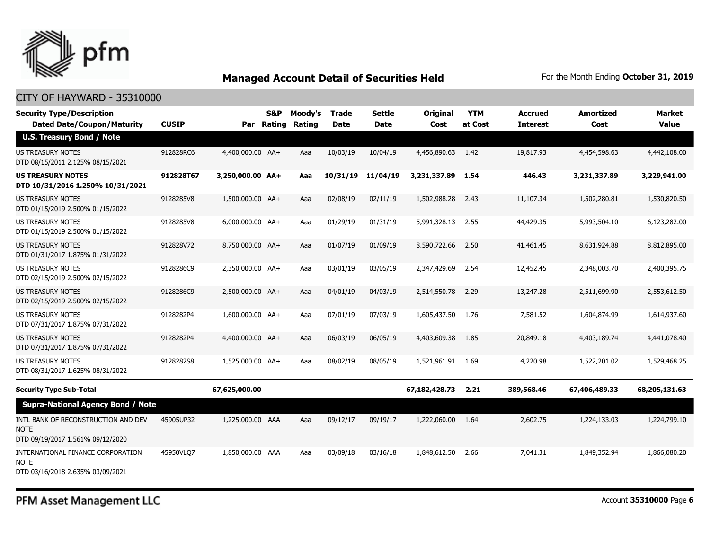

#### CITY OF HAYWARD - 35310000

| <b>Security Type/Description</b><br><b>Dated Date/Coupon/Maturity</b>                  | <b>CUSIP</b> | Par              | S&P<br>Rating | Moody's<br>Rating | <b>Trade</b><br><b>Date</b> | Settle<br>Date | Original<br>Cost | <b>YTM</b><br>at Cost | <b>Accrued</b><br><b>Interest</b> | <b>Amortized</b><br>Cost | <b>Market</b><br><b>Value</b> |
|----------------------------------------------------------------------------------------|--------------|------------------|---------------|-------------------|-----------------------------|----------------|------------------|-----------------------|-----------------------------------|--------------------------|-------------------------------|
| <b>U.S. Treasury Bond / Note</b>                                                       |              |                  |               |                   |                             |                |                  |                       |                                   |                          |                               |
| <b>US TREASURY NOTES</b><br>DTD 08/15/2011 2.125% 08/15/2021                           | 912828RC6    | 4,400,000.00 AA+ |               | Aaa               | 10/03/19                    | 10/04/19       | 4,456,890.63     | 1.42                  | 19,817.93                         | 4,454,598.63             | 4,442,108.00                  |
| <b>US TREASURY NOTES</b><br>DTD 10/31/2016 1.250% 10/31/2021                           | 912828T67    | 3,250,000.00 AA+ |               | Aaa               | 10/31/19                    | 11/04/19       | 3,231,337.89     | 1.54                  | 446.43                            | 3,231,337.89             | 3,229,941.00                  |
| <b>US TREASURY NOTES</b><br>DTD 01/15/2019 2.500% 01/15/2022                           | 9128285V8    | 1,500,000.00 AA+ |               | Aaa               | 02/08/19                    | 02/11/19       | 1,502,988.28     | 2.43                  | 11,107.34                         | 1,502,280.81             | 1,530,820.50                  |
| US TREASURY NOTES<br>DTD 01/15/2019 2.500% 01/15/2022                                  | 9128285V8    | 6,000,000.00 AA+ |               | Aaa               | 01/29/19                    | 01/31/19       | 5,991,328.13     | 2.55                  | 44,429.35                         | 5,993,504.10             | 6,123,282.00                  |
| US TREASURY NOTES<br>DTD 01/31/2017 1.875% 01/31/2022                                  | 912828V72    | 8,750,000.00 AA+ |               | Aaa               | 01/07/19                    | 01/09/19       | 8,590,722.66     | 2.50                  | 41,461.45                         | 8,631,924.88             | 8,812,895,00                  |
| <b>US TREASURY NOTES</b><br>DTD 02/15/2019 2.500% 02/15/2022                           | 9128286C9    | 2,350,000.00 AA+ |               | Aaa               | 03/01/19                    | 03/05/19       | 2,347,429.69     | 2.54                  | 12,452.45                         | 2,348,003.70             | 2,400,395.75                  |
| <b>US TREASURY NOTES</b><br>DTD 02/15/2019 2.500% 02/15/2022                           | 9128286C9    | 2,500,000.00 AA+ |               | Aaa               | 04/01/19                    | 04/03/19       | 2,514,550.78     | 2.29                  | 13,247.28                         | 2,511,699.90             | 2,553,612.50                  |
| <b>US TREASURY NOTES</b><br>DTD 07/31/2017 1.875% 07/31/2022                           | 9128282P4    | 1,600,000.00 AA+ |               | Aaa               | 07/01/19                    | 07/03/19       | 1,605,437.50     | 1.76                  | 7,581.52                          | 1,604,874.99             | 1,614,937.60                  |
| US TREASURY NOTES<br>DTD 07/31/2017 1.875% 07/31/2022                                  | 9128282P4    | 4,400,000.00 AA+ |               | Aaa               | 06/03/19                    | 06/05/19       | 4,403,609.38     | 1.85                  | 20,849.18                         | 4,403,189.74             | 4,441,078.40                  |
| US TREASURY NOTES<br>DTD 08/31/2017 1.625% 08/31/2022                                  | 9128282S8    | 1,525,000.00 AA+ |               | Aaa               | 08/02/19                    | 08/05/19       | 1,521,961.91     | 1.69                  | 4,220.98                          | 1,522,201.02             | 1,529,468.25                  |
| <b>Security Type Sub-Total</b>                                                         |              | 67,625,000.00    |               |                   |                             |                | 67,182,428.73    | 2.21                  | 389,568.46                        | 67,406,489.33            | 68,205,131.63                 |
| <b>Supra-National Agency Bond / Note</b>                                               |              |                  |               |                   |                             |                |                  |                       |                                   |                          |                               |
| INTL BANK OF RECONSTRUCTION AND DEV<br><b>NOTE</b><br>DTD 09/19/2017 1.561% 09/12/2020 | 45905UP32    | 1,225,000.00 AAA |               | Aaa               | 09/12/17                    | 09/19/17       | 1,222,060.00     | 1.64                  | 2,602.75                          | 1,224,133.03             | 1,224,799.10                  |
| INTERNATIONAL FINANCE CORPORATION<br><b>NOTE</b><br>DTD 03/16/2018 2.635% 03/09/2021   | 45950VLQ7    | 1,850,000.00 AAA |               | Aaa               | 03/09/18                    | 03/16/18       | 1,848,612.50     | 2.66                  | 7,041.31                          | 1,849,352.94             | 1,866,080.20                  |

PFM Asset Management LLC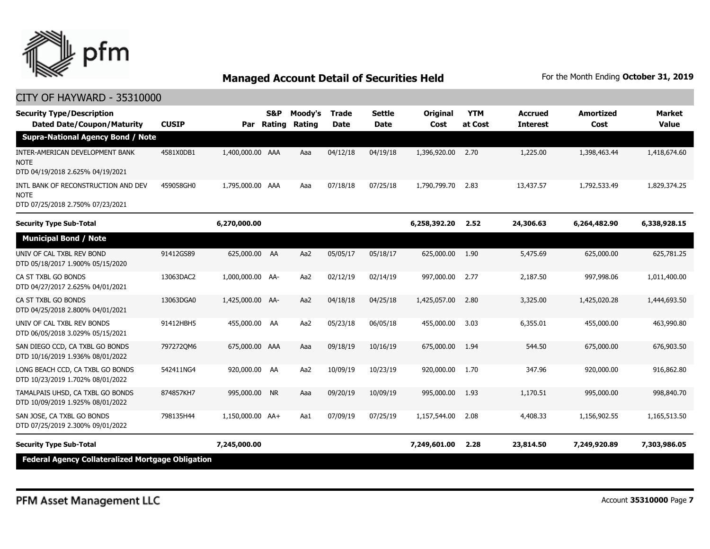

| <b>Security Type/Description</b><br><b>Dated Date/Coupon/Maturity</b>                  | <b>CUSIP</b> | Par              | S&P<br>Rating | Moody's<br>Rating | Trade<br><b>Date</b> | <b>Settle</b><br><b>Date</b> | <b>Original</b><br>Cost | <b>YTM</b><br>at Cost | <b>Accrued</b><br><b>Interest</b> | <b>Amortized</b><br>Cost | <b>Market</b><br><b>Value</b> |
|----------------------------------------------------------------------------------------|--------------|------------------|---------------|-------------------|----------------------|------------------------------|-------------------------|-----------------------|-----------------------------------|--------------------------|-------------------------------|
| <b>Supra-National Agency Bond / Note</b>                                               |              |                  |               |                   |                      |                              |                         |                       |                                   |                          |                               |
| INTER-AMERICAN DEVELOPMENT BANK<br>NOTE<br>DTD 04/19/2018 2.625% 04/19/2021            | 4581X0DB1    | 1,400,000.00 AAA |               | Aaa               | 04/12/18             | 04/19/18                     | 1,396,920.00            | 2.70                  | 1,225.00                          | 1,398,463.44             | 1,418,674.60                  |
| INTL BANK OF RECONSTRUCTION AND DEV<br><b>NOTE</b><br>DTD 07/25/2018 2.750% 07/23/2021 | 459058GH0    | 1,795,000.00 AAA |               | Aaa               | 07/18/18             | 07/25/18                     | 1,790,799,70            | 2.83                  | 13,437.57                         | 1,792,533.49             | 1,829,374.25                  |
| <b>Security Type Sub-Total</b>                                                         |              | 6,270,000.00     |               |                   |                      |                              | 6,258,392.20            | 2.52                  | 24,306.63                         | 6,264,482.90             | 6,338,928.15                  |
| <b>Municipal Bond / Note</b>                                                           |              |                  |               |                   |                      |                              |                         |                       |                                   |                          |                               |
| UNIV OF CAL TXBL REV BOND<br>DTD 05/18/2017 1.900% 05/15/2020                          | 91412GS89    | 625,000.00 AA    |               | Aa2               | 05/05/17             | 05/18/17                     | 625,000.00              | 1.90                  | 5,475.69                          | 625,000.00               | 625,781.25                    |
| CA ST TXBL GO BONDS<br>DTD 04/27/2017 2.625% 04/01/2021                                | 13063DAC2    | 1,000,000.00 AA- |               | Aa2               | 02/12/19             | 02/14/19                     | 997,000.00              | 2.77                  | 2,187.50                          | 997,998.06               | 1,011,400.00                  |
| CA ST TXBL GO BONDS<br>DTD 04/25/2018 2.800% 04/01/2021                                | 13063DGA0    | 1,425,000.00 AA- |               | Aa2               | 04/18/18             | 04/25/18                     | 1,425,057.00            | 2.80                  | 3,325.00                          | 1,425,020.28             | 1,444,693.50                  |
| UNIV OF CAL TXBL REV BONDS<br>DTD 06/05/2018 3.029% 05/15/2021                         | 91412HBH5    | 455,000.00 AA    |               | Aa2               | 05/23/18             | 06/05/18                     | 455,000.00              | 3.03                  | 6,355.01                          | 455,000.00               | 463,990.80                    |
| SAN DIEGO CCD, CA TXBL GO BONDS<br>DTD 10/16/2019 1.936% 08/01/2022                    | 7972720M6    | 675,000.00 AAA   |               | Aaa               | 09/18/19             | 10/16/19                     | 675,000.00              | 1.94                  | 544.50                            | 675,000.00               | 676,903.50                    |
| LONG BEACH CCD, CA TXBL GO BONDS<br>DTD 10/23/2019 1.702% 08/01/2022                   | 542411NG4    | 920,000.00 AA    |               | Aa2               | 10/09/19             | 10/23/19                     | 920,000.00              | 1.70                  | 347.96                            | 920,000.00               | 916,862.80                    |
| TAMALPAIS UHSD, CA TXBL GO BONDS<br>DTD 10/09/2019 1.925% 08/01/2022                   | 874857KH7    | 995,000.00 NR    |               | Aaa               | 09/20/19             | 10/09/19                     | 995,000.00              | 1.93                  | 1,170.51                          | 995,000.00               | 998,840.70                    |
| SAN JOSE, CA TXBL GO BONDS<br>DTD 07/25/2019 2.300% 09/01/2022                         | 798135H44    | 1,150,000.00 AA+ |               | Aa1               | 07/09/19             | 07/25/19                     | 1,157,544.00            | 2.08                  | 4,408.33                          | 1,156,902.55             | 1,165,513.50                  |
| <b>Security Type Sub-Total</b>                                                         |              | 7,245,000.00     |               |                   |                      |                              | 7,249,601.00            | 2.28                  | 23,814.50                         | 7,249,920.89             | 7,303,986.05                  |
| <b>Federal Agency Collateralized Mortgage Obligation</b>                               |              |                  |               |                   |                      |                              |                         |                       |                                   |                          |                               |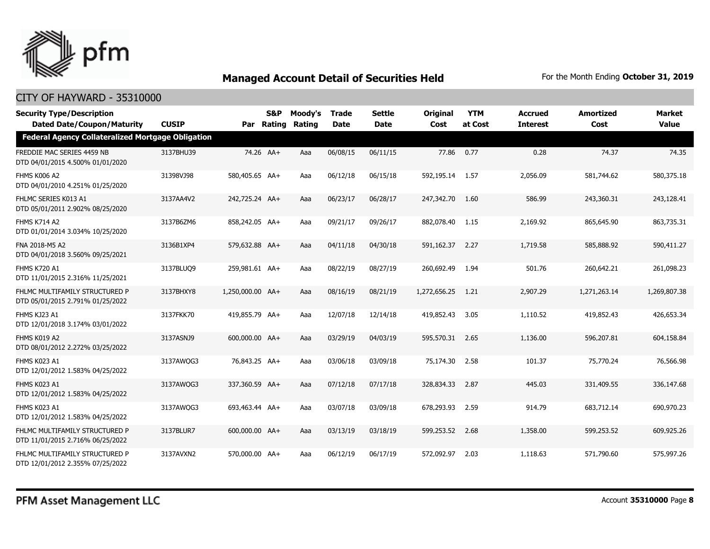

| <b>Security Type/Description</b>                                   |              |                  | S&P       | Moody's | <b>Trade</b> | <b>Settle</b> | Original        | <b>YTM</b> | <b>Accrued</b>  | <b>Amortized</b> | <b>Market</b> |
|--------------------------------------------------------------------|--------------|------------------|-----------|---------|--------------|---------------|-----------------|------------|-----------------|------------------|---------------|
| <b>Dated Date/Coupon/Maturity</b>                                  | <b>CUSIP</b> | Par              | Rating    | Rating  | <b>Date</b>  | <b>Date</b>   | Cost            | at Cost    | <b>Interest</b> | Cost             | <b>Value</b>  |
| <b>Federal Agency Collateralized Mortgage Obligation</b>           |              |                  |           |         |              |               |                 |            |                 |                  |               |
| FREDDIE MAC SERIES 4459 NB<br>DTD 04/01/2015 4.500% 01/01/2020     | 3137BHU39    |                  | 74.26 AA+ | Aaa     | 06/08/15     | 06/11/15      | 77.86 0.77      |            | 0.28            | 74.37            | 74.35         |
| FHMS K006 A2<br>DTD 04/01/2010 4.251% 01/25/2020                   | 31398VJ98    | 580,405.65 AA+   |           | Aaa     | 06/12/18     | 06/15/18      | 592,195.14 1.57 |            | 2,056.09        | 581,744.62       | 580,375.18    |
| FHLMC SERIES K013 A1<br>DTD 05/01/2011 2.902% 08/25/2020           | 3137AA4V2    | 242,725.24 AA+   |           | Aaa     | 06/23/17     | 06/28/17      | 247,342.70      | 1.60       | 586.99          | 243,360.31       | 243,128.41    |
| <b>FHMS K714 A2</b><br>DTD 01/01/2014 3.034% 10/25/2020            | 3137B6ZM6    | 858,242.05 AA+   |           | Aaa     | 09/21/17     | 09/26/17      | 882,078.40      | - 1.15     | 2,169.92        | 865,645.90       | 863,735.31    |
| FNA 2018-M5 A2<br>DTD 04/01/2018 3.560% 09/25/2021                 | 3136B1XP4    | 579,632.88 AA+   |           | Aaa     | 04/11/18     | 04/30/18      | 591,162.37      | 2.27       | 1,719.58        | 585,888.92       | 590,411.27    |
| <b>FHMS K720 A1</b><br>DTD 11/01/2015 2.316% 11/25/2021            | 3137BLUQ9    | 259,981.61 AA+   |           | Aaa     | 08/22/19     | 08/27/19      | 260,692.49      | - 1.94     | 501.76          | 260,642.21       | 261,098.23    |
| FHLMC MULTIFAMILY STRUCTURED P<br>DTD 05/01/2015 2.791% 01/25/2022 | 3137BHXY8    | 1,250,000.00 AA+ |           | Aaa     | 08/16/19     | 08/21/19      | 1,272,656.25    | 1.21       | 2,907.29        | 1,271,263.14     | 1,269,807.38  |
| FHMS KJ23 A1<br>DTD 12/01/2018 3.174% 03/01/2022                   | 3137FKK70    | 419,855.79 AA+   |           | Aaa     | 12/07/18     | 12/14/18      | 419,852.43      | 3.05       | 1,110.52        | 419,852.43       | 426,653.34    |
| FHMS K019 A2<br>DTD 08/01/2012 2.272% 03/25/2022                   | 3137ASNJ9    | 600,000.00 AA+   |           | Aaa     | 03/29/19     | 04/03/19      | 595,570.31      | 2.65       | 1,136.00        | 596,207.81       | 604,158.84    |
| FHMS K023 A1<br>DTD 12/01/2012 1.583% 04/25/2022                   | 3137AWQG3    | 76,843.25 AA+    |           | Aaa     | 03/06/18     | 03/09/18      | 75,174.30       | 2.58       | 101.37          | 75,770.24        | 76,566.98     |
| <b>FHMS K023 A1</b><br>DTD 12/01/2012 1.583% 04/25/2022            | 3137AWQG3    | 337,360.59 AA+   |           | Aaa     | 07/12/18     | 07/17/18      | 328,834.33      | 2.87       | 445.03          | 331,409.55       | 336,147.68    |
| FHMS K023 A1<br>DTD 12/01/2012 1.583% 04/25/2022                   | 3137AWQG3    | 693,463.44 AA+   |           | Aaa     | 03/07/18     | 03/09/18      | 678,293.93      | 2.59       | 914.79          | 683,712.14       | 690,970.23    |
| FHLMC MULTIFAMILY STRUCTURED P<br>DTD 11/01/2015 2.716% 06/25/2022 | 3137BLUR7    | 600,000.00 AA+   |           | Aaa     | 03/13/19     | 03/18/19      | 599,253.52      | 2.68       | 1,358.00        | 599,253.52       | 609,925.26    |
| FHLMC MULTIFAMILY STRUCTURED P<br>DTD 12/01/2012 2.355% 07/25/2022 | 3137AVXN2    | 570,000.00 AA+   |           | Aaa     | 06/12/19     | 06/17/19      | 572,092.97      | 2.03       | 1,118.63        | 571,790.60       | 575,997.26    |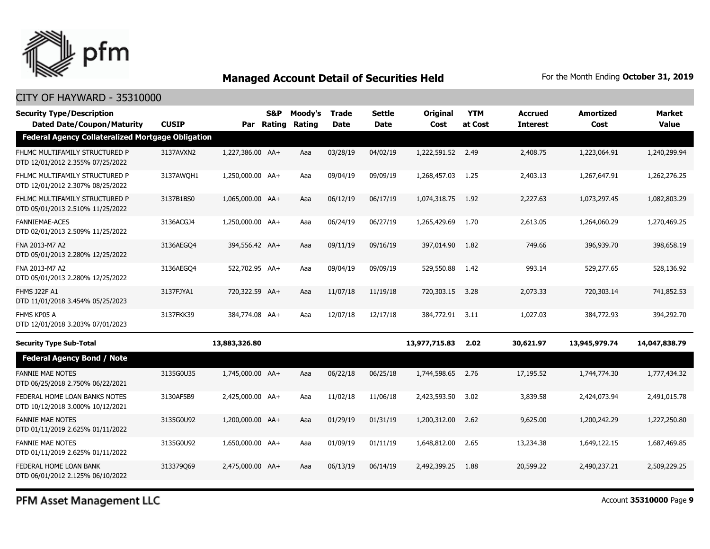

#### CITY OF HAYWARD - 35310000

| <b>Value</b>  |
|---------------|
|               |
| 1,240,299.94  |
| 1,262,276.25  |
| 1,082,803.29  |
| 1,270,469.25  |
| 398,658.19    |
| 528,136.92    |
| 741,852.53    |
| 394,292,70    |
| 14,047,838.79 |
|               |
| 1,777,434.32  |
| 2,491,015.78  |
| 1,227,250.80  |
| 1,687,469.85  |
| 2,509,229.25  |
|               |

PFM Asset Management LLC

Account **35310000** Page **9**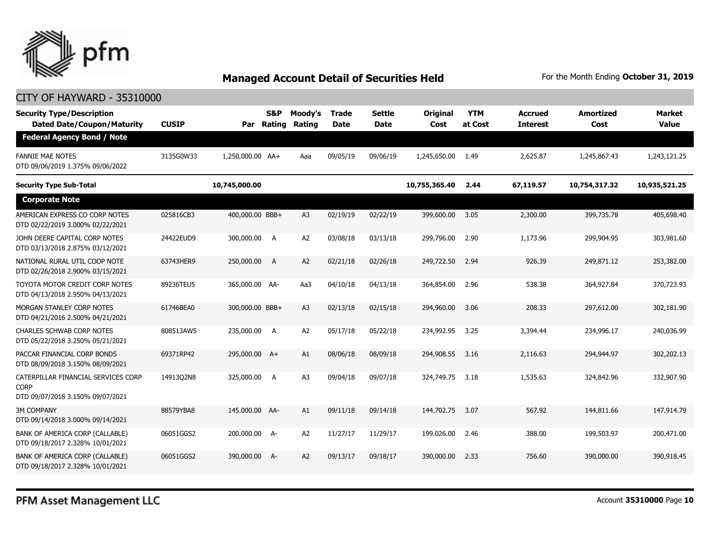

#### CITY OF HAYWARD - 35310000

| <b>Security Type/Description</b><br><b>Dated Date/Coupon/Maturity</b>                  | <b>CUSIP</b> | Par              | S&P<br>Rating  | Moody's<br>Rating | <b>Trade</b><br><b>Date</b> | <b>Settle</b><br>Date | <b>Original</b><br>Cost | <b>YTM</b><br>at Cost | <b>Accrued</b><br><b>Interest</b> | <b>Amortized</b><br>Cost | <b>Market</b><br><b>Value</b> |
|----------------------------------------------------------------------------------------|--------------|------------------|----------------|-------------------|-----------------------------|-----------------------|-------------------------|-----------------------|-----------------------------------|--------------------------|-------------------------------|
| <b>Federal Agency Bond / Note</b>                                                      |              |                  |                |                   |                             |                       |                         |                       |                                   |                          |                               |
| <b>FANNIE MAE NOTES</b><br>DTD 09/06/2019 1.375% 09/06/2022                            | 3135G0W33    | 1,250,000.00 AA+ |                | Aaa               | 09/05/19                    | 09/06/19              | 1,245,650.00            | 1.49                  | 2,625.87                          | 1,245,867.43             | 1,243,121.25                  |
| <b>Security Type Sub-Total</b>                                                         |              | 10,745,000.00    |                |                   |                             |                       | 10,755,365.40           | 2.44                  | 67,119.57                         | 10,754,317.32            | 10,935,521.25                 |
| <b>Corporate Note</b>                                                                  |              |                  |                |                   |                             |                       |                         |                       |                                   |                          |                               |
| AMERICAN EXPRESS CO CORP NOTES<br>DTD 02/22/2019 3.000% 02/22/2021                     | 025816CB3    | 400,000.00 BBB+  |                | A <sub>3</sub>    | 02/19/19                    | 02/22/19              | 399,600.00              | 3.05                  | 2,300.00                          | 399,735,78               | 405,698.40                    |
| JOHN DEERE CAPITAL CORP NOTES<br>DTD 03/13/2018 2.875% 03/12/2021                      | 24422EUD9    | 300,000.00       | A              | A2                | 03/08/18                    | 03/13/18              | 299,796.00              | 2.90                  | 1,173.96                          | 299,904.95               | 303,981.60                    |
| NATIONAL RURAL UTIL COOP NOTE<br>DTD 02/26/2018 2.900% 03/15/2021                      | 63743HER9    | 250,000.00       | $\overline{A}$ | A <sub>2</sub>    | 02/21/18                    | 02/26/18              | 249,722.50              | 2.94                  | 926.39                            | 249,871.12               | 253,382.00                    |
| TOYOTA MOTOR CREDIT CORP NOTES<br>DTD 04/13/2018 2.950% 04/13/2021                     | 89236TEU5    | 365,000.00 AA-   |                | Aa3               | 04/10/18                    | 04/13/18              | 364,854.00              | 2.96                  | 538.38                            | 364,927.84               | 370,723.93                    |
| MORGAN STANLEY CORP NOTES<br>DTD 04/21/2016 2.500% 04/21/2021                          | 61746BEA0    | 300,000.00 BBB+  |                | A <sub>3</sub>    | 02/13/18                    | 02/15/18              | 294,960.00              | 3.06                  | 208.33                            | 297,612.00               | 302,181.90                    |
| <b>CHARLES SCHWAB CORP NOTES</b><br>DTD 05/22/2018 3.250% 05/21/2021                   | 808513AW5    | 235,000.00       | A              | A <sub>2</sub>    | 05/17/18                    | 05/22/18              | 234,992.95              | 3.25                  | 3,394.44                          | 234,996.17               | 240,036.99                    |
| PACCAR FINANCIAL CORP BONDS<br>DTD 08/09/2018 3.150% 08/09/2021                        | 69371RP42    | 295,000.00 A+    |                | A1                | 08/06/18                    | 08/09/18              | 294,908.55              | 3.16                  | 2,116.63                          | 294,944.97               | 302,202.13                    |
| CATERPILLAR FINANCIAL SERVICES CORP<br><b>CORP</b><br>DTD 09/07/2018 3.150% 09/07/2021 | 14913Q2N8    | 325,000.00       | A              | A <sub>3</sub>    | 09/04/18                    | 09/07/18              | 324,749.75              | 3.18                  | 1,535.63                          | 324,842.96               | 332,907.90                    |
| <b>3M COMPANY</b><br>DTD 09/14/2018 3.000% 09/14/2021                                  | 88579YBA8    | 145,000.00 AA-   |                | A1                | 09/11/18                    | 09/14/18              | 144,702.75              | 3.07                  | 567.92                            | 144,811.66               | 147,914.79                    |
| BANK OF AMERICA CORP (CALLABLE)<br>DTD 09/18/2017 2.328% 10/01/2021                    | 06051GGS2    | 200,000.00 A-    |                | A <sub>2</sub>    | 11/27/17                    | 11/29/17              | 199,026.00              | 2.46                  | 388.00                            | 199,503.97               | 200,471.00                    |
| BANK OF AMERICA CORP (CALLABLE)<br>DTD 09/18/2017 2.328% 10/01/2021                    | 06051GGS2    | 390,000,00       | - A            | A2                | 09/13/17                    | 09/18/17              | 390,000,00              | 2.33                  | 756.60                            | 390,000,00               | 390,918.45                    |

PFM Asset Management LLC

Account **35310000** Page **10**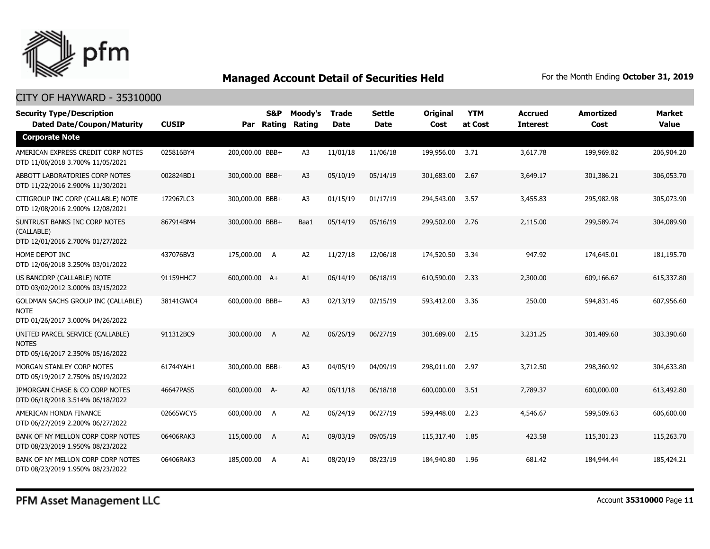

| <b>Security Type/Description</b><br><b>Dated Date/Coupon/Maturity</b>                 | <b>CUSIP</b> |                 | <b>S&amp;P</b><br>Par Rating | Moody's<br>Rating | <b>Trade</b><br><b>Date</b> | <b>Settle</b><br><b>Date</b> | <b>Original</b><br>Cost | <b>YTM</b><br>at Cost | <b>Accrued</b><br><b>Interest</b> | <b>Amortized</b><br>Cost | <b>Market</b><br><b>Value</b> |
|---------------------------------------------------------------------------------------|--------------|-----------------|------------------------------|-------------------|-----------------------------|------------------------------|-------------------------|-----------------------|-----------------------------------|--------------------------|-------------------------------|
| <b>Corporate Note</b>                                                                 |              |                 |                              |                   |                             |                              |                         |                       |                                   |                          |                               |
| AMERICAN EXPRESS CREDIT CORP NOTES<br>DTD 11/06/2018 3.700% 11/05/2021                | 025816BY4    | 200,000.00 BBB+ |                              | A <sub>3</sub>    | 11/01/18                    | 11/06/18                     | 199,956.00              | 3.71                  | 3,617.78                          | 199,969.82               | 206,904.20                    |
| ABBOTT LABORATORIES CORP NOTES<br>DTD 11/22/2016 2.900% 11/30/2021                    | 002824BD1    | 300,000.00 BBB+ |                              | A3                | 05/10/19                    | 05/14/19                     | 301,683.00              | 2.67                  | 3,649.17                          | 301,386.21               | 306,053.70                    |
| CITIGROUP INC CORP (CALLABLE) NOTE<br>DTD 12/08/2016 2.900% 12/08/2021                | 172967LC3    | 300,000.00 BBB+ |                              | A <sub>3</sub>    | 01/15/19                    | 01/17/19                     | 294,543.00              | 3.57                  | 3,455.83                          | 295,982.98               | 305,073.90                    |
| SUNTRUST BANKS INC CORP NOTES<br>(CALLABLE)<br>DTD 12/01/2016 2.700% 01/27/2022       | 867914BM4    | 300,000.00 BBB+ |                              | Baa1              | 05/14/19                    | 05/16/19                     | 299,502.00              | 2.76                  | 2,115.00                          | 299,589.74               | 304,089.90                    |
| HOME DEPOT INC<br>DTD 12/06/2018 3.250% 03/01/2022                                    | 437076BV3    | 175,000.00 A    |                              | A <sub>2</sub>    | 11/27/18                    | 12/06/18                     | 174,520.50              | 3.34                  | 947.92                            | 174,645.01               | 181,195.70                    |
| US BANCORP (CALLABLE) NOTE<br>DTD 03/02/2012 3.000% 03/15/2022                        | 91159HHC7    | 600,000.00 A+   |                              | A1                | 06/14/19                    | 06/18/19                     | 610,590.00              | 2.33                  | 2,300.00                          | 609,166.67               | 615,337.80                    |
| GOLDMAN SACHS GROUP INC (CALLABLE)<br><b>NOTE</b><br>DTD 01/26/2017 3.000% 04/26/2022 | 38141GWC4    | 600,000.00 BBB+ |                              | A <sub>3</sub>    | 02/13/19                    | 02/15/19                     | 593,412.00              | 3.36                  | 250.00                            | 594,831.46               | 607,956.60                    |
| UNITED PARCEL SERVICE (CALLABLE)<br><b>NOTES</b><br>DTD 05/16/2017 2.350% 05/16/2022  | 911312BC9    | 300,000.00 A    |                              | A2                | 06/26/19                    | 06/27/19                     | 301,689.00              | 2.15                  | 3,231.25                          | 301,489.60               | 303,390.60                    |
| MORGAN STANLEY CORP NOTES<br>DTD 05/19/2017 2.750% 05/19/2022                         | 61744YAH1    | 300,000.00 BBB+ |                              | A <sub>3</sub>    | 04/05/19                    | 04/09/19                     | 298,011.00              | 2.97                  | 3,712.50                          | 298,360.92               | 304,633.80                    |
| JPMORGAN CHASE & CO CORP NOTES<br>DTD 06/18/2018 3.514% 06/18/2022                    | 46647PAS5    | 600,000.00 A-   |                              | A2                | 06/11/18                    | 06/18/18                     | 600,000.00              | 3.51                  | 7,789.37                          | 600,000.00               | 613,492.80                    |
| AMERICAN HONDA FINANCE<br>DTD 06/27/2019 2.200% 06/27/2022                            | 02665WCY5    | 600,000.00      | $\overline{A}$               | A2                | 06/24/19                    | 06/27/19                     | 599,448.00              | 2.23                  | 4,546.67                          | 599,509.63               | 606,600.00                    |
| BANK OF NY MELLON CORP CORP NOTES<br>DTD 08/23/2019 1.950% 08/23/2022                 | 06406RAK3    | 115,000.00 A    |                              | A1                | 09/03/19                    | 09/05/19                     | 115,317.40              | 1.85                  | 423.58                            | 115,301.23               | 115,263.70                    |
| BANK OF NY MELLON CORP CORP NOTES<br>DTD 08/23/2019 1.950% 08/23/2022                 | 06406RAK3    | 185,000.00      | <b>A</b>                     | A1                | 08/20/19                    | 08/23/19                     | 184,940.80              | 1.96                  | 681.42                            | 184,944.44               | 185,424.21                    |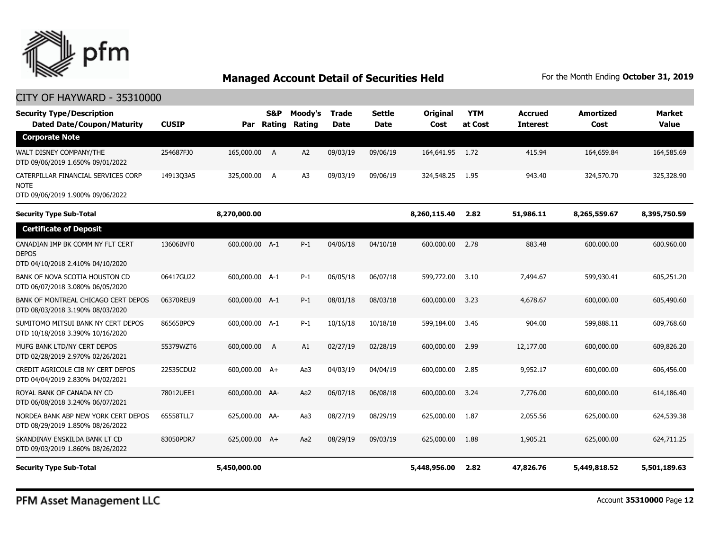

#### CITY OF HAYWARD - 35310000

| <b>Security Type/Description</b><br><b>Dated Date/Coupon/Maturity</b>                  | <b>CUSIP</b> | Par            | <b>S&amp;P</b><br>Rating | Moody's<br>Rating | Trade<br><b>Date</b> | <b>Settle</b><br><b>Date</b> | Original<br>Cost | <b>YTM</b><br>at Cost | Accrued<br><b>Interest</b> | <b>Amortized</b><br>Cost | <b>Market</b><br><b>Value</b> |
|----------------------------------------------------------------------------------------|--------------|----------------|--------------------------|-------------------|----------------------|------------------------------|------------------|-----------------------|----------------------------|--------------------------|-------------------------------|
| <b>Corporate Note</b>                                                                  |              |                |                          |                   |                      |                              |                  |                       |                            |                          |                               |
| WALT DISNEY COMPANY/THE<br>DTD 09/06/2019 1.650% 09/01/2022                            | 254687FJ0    | 165,000.00 A   |                          | A2                | 09/03/19             | 09/06/19                     | 164,641.95 1.72  |                       | 415.94                     | 164,659.84               | 164,585.69                    |
| CATERPILLAR FINANCIAL SERVICES CORP<br><b>NOTE</b><br>DTD 09/06/2019 1.900% 09/06/2022 | 14913Q3A5    | 325,000.00 A   |                          | A <sub>3</sub>    | 09/03/19             | 09/06/19                     | 324,548.25       | 1.95                  | 943.40                     | 324,570.70               | 325,328.90                    |
| <b>Security Type Sub-Total</b>                                                         |              | 8,270,000.00   |                          |                   |                      |                              | 8,260,115.40     | 2.82                  | 51,986.11                  | 8,265,559.67             | 8,395,750.59                  |
| <b>Certificate of Deposit</b>                                                          |              |                |                          |                   |                      |                              |                  |                       |                            |                          |                               |
| CANADIAN IMP BK COMM NY FLT CERT<br><b>DEPOS</b><br>DTD 04/10/2018 2.410% 04/10/2020   | 13606BVF0    | 600,000.00 A-1 |                          | $P-1$             | 04/06/18             | 04/10/18                     | 600,000.00       | 2.78                  | 883.48                     | 600,000.00               | 600,960.00                    |
| BANK OF NOVA SCOTIA HOUSTON CD<br>DTD 06/07/2018 3.080% 06/05/2020                     | 06417GU22    | 600,000.00 A-1 |                          | $P-1$             | 06/05/18             | 06/07/18                     | 599,772.00       | 3.10                  | 7,494.67                   | 599,930.41               | 605,251.20                    |
| BANK OF MONTREAL CHICAGO CERT DEPOS<br>DTD 08/03/2018 3.190% 08/03/2020                | 06370REU9    | 600,000.00 A-1 |                          | $P-1$             | 08/01/18             | 08/03/18                     | 600,000.00       | 3.23                  | 4,678.67                   | 600,000.00               | 605,490.60                    |
| SUMITOMO MITSUI BANK NY CERT DEPOS<br>DTD 10/18/2018 3.390% 10/16/2020                 | 86565BPC9    | 600,000.00 A-1 |                          | $P-1$             | 10/16/18             | 10/18/18                     | 599,184.00       | 3.46                  | 904.00                     | 599,888.11               | 609,768.60                    |
| MUFG BANK LTD/NY CERT DEPOS<br>DTD 02/28/2019 2.970% 02/26/2021                        | 55379WZT6    | 600,000.00     | A                        | A1                | 02/27/19             | 02/28/19                     | 600,000.00       | 2.99                  | 12,177.00                  | 600,000.00               | 609,826.20                    |
| CREDIT AGRICOLE CIB NY CERT DEPOS<br>DTD 04/04/2019 2.830% 04/02/2021                  | 22535CDU2    | 600,000.00 A+  |                          | Aa3               | 04/03/19             | 04/04/19                     | 600,000.00       | 2.85                  | 9,952.17                   | 600,000.00               | 606,456.00                    |
| ROYAL BANK OF CANADA NY CD<br>DTD 06/08/2018 3.240% 06/07/2021                         | 78012UEE1    | 600,000,00 AA- |                          | Aa2               | 06/07/18             | 06/08/18                     | 600,000.00       | 3.24                  | 7,776.00                   | 600,000.00               | 614,186.40                    |
| NORDEA BANK ABP NEW YORK CERT DEPOS<br>DTD 08/29/2019 1.850% 08/26/2022                | 65558TLL7    | 625,000.00 AA- |                          | Aa3               | 08/27/19             | 08/29/19                     | 625,000.00       | 1.87                  | 2,055.56                   | 625,000.00               | 624,539.38                    |
| SKANDINAV ENSKILDA BANK LT CD<br>DTD 09/03/2019 1.860% 08/26/2022                      | 83050PDR7    | 625,000.00 A+  |                          | Aa2               | 08/29/19             | 09/03/19                     | 625,000.00       | 1.88                  | 1,905.21                   | 625,000.00               | 624,711.25                    |
| <b>Security Type Sub-Total</b>                                                         |              | 5,450,000.00   |                          |                   |                      |                              | 5,448,956.00     | 2.82                  | 47,826.76                  | 5,449,818.52             | 5,501,189.63                  |

PFM Asset Management LLC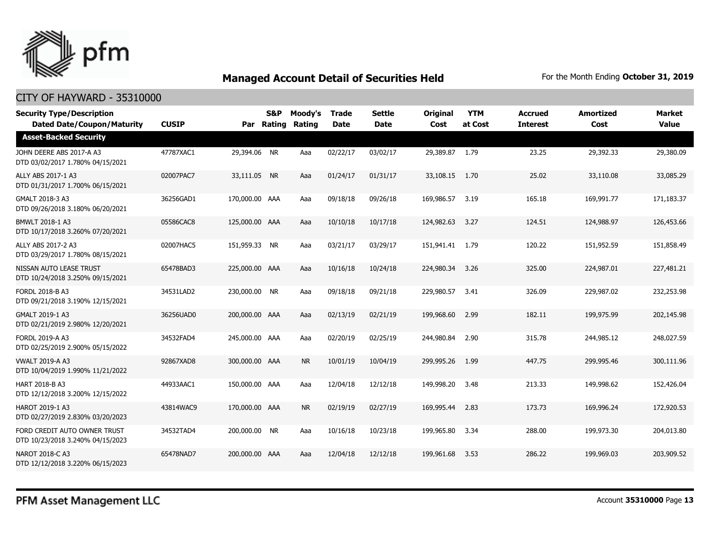

| <b>Security Type/Description</b><br><b>Dated Date/Coupon/Maturity</b> | <b>CUSIP</b> |                | S&P<br>Par Rating | Moody's<br>Rating | <b>Trade</b><br><b>Date</b> | <b>Settle</b><br><b>Date</b> | <b>Original</b><br>Cost | <b>YTM</b><br>at Cost | <b>Accrued</b><br><b>Interest</b> | <b>Amortized</b><br>Cost | <b>Market</b><br><b>Value</b> |
|-----------------------------------------------------------------------|--------------|----------------|-------------------|-------------------|-----------------------------|------------------------------|-------------------------|-----------------------|-----------------------------------|--------------------------|-------------------------------|
| <b>Asset-Backed Security</b>                                          |              |                |                   |                   |                             |                              |                         |                       |                                   |                          |                               |
| JOHN DEERE ABS 2017-A A3<br>DTD 03/02/2017 1.780% 04/15/2021          | 47787XAC1    | 29,394.06 NR   |                   | Aaa               | 02/22/17                    | 03/02/17                     | 29,389.87               | 1.79                  | 23.25                             | 29,392.33                | 29,380.09                     |
| ALLY ABS 2017-1 A3<br>DTD 01/31/2017 1.700% 06/15/2021                | 02007PAC7    | 33,111.05 NR   |                   | Aaa               | 01/24/17                    | 01/31/17                     | 33,108.15               | 1.70                  | 25.02                             | 33,110.08                | 33,085.29                     |
| GMALT 2018-3 A3<br>DTD 09/26/2018 3.180% 06/20/2021                   | 36256GAD1    | 170,000.00 AAA |                   | Aaa               | 09/18/18                    | 09/26/18                     | 169,986.57              | 3.19                  | 165.18                            | 169,991.77               | 171,183.37                    |
| BMWLT 2018-1 A3<br>DTD 10/17/2018 3.260% 07/20/2021                   | 05586CAC8    | 125,000.00 AAA |                   | Aaa               | 10/10/18                    | 10/17/18                     | 124,982.63              | 3.27                  | 124.51                            | 124,988.97               | 126,453.66                    |
| ALLY ABS 2017-2 A3<br>DTD 03/29/2017 1.780% 08/15/2021                | 02007HAC5    | 151,959.33 NR  |                   | Aaa               | 03/21/17                    | 03/29/17                     | 151.941.41 1.79         |                       | 120.22                            | 151,952.59               | 151,858.49                    |
| NISSAN AUTO LEASE TRUST<br>DTD 10/24/2018 3.250% 09/15/2021           | 65478BAD3    | 225,000.00 AAA |                   | Aaa               | 10/16/18                    | 10/24/18                     | 224,980.34              | 3.26                  | 325.00                            | 224,987.01               | 227,481.21                    |
| <b>FORDL 2018-B A3</b><br>DTD 09/21/2018 3.190% 12/15/2021            | 34531LAD2    | 230,000.00 NR  |                   | Aaa               | 09/18/18                    | 09/21/18                     | 229,980.57              | 3.41                  | 326.09                            | 229,987.02               | 232,253.98                    |
| GMALT 2019-1 A3<br>DTD 02/21/2019 2.980% 12/20/2021                   | 36256UAD0    | 200,000.00 AAA |                   | Aaa               | 02/13/19                    | 02/21/19                     | 199,968.60              | 2.99                  | 182.11                            | 199,975.99               | 202,145.98                    |
| <b>FORDL 2019-A A3</b><br>DTD 02/25/2019 2.900% 05/15/2022            | 34532FAD4    | 245,000.00 AAA |                   | Aaa               | 02/20/19                    | 02/25/19                     | 244,980.84              | 2.90                  | 315.78                            | 244,985.12               | 248,027.59                    |
| <b>VWALT 2019-A A3</b><br>DTD 10/04/2019 1.990% 11/21/2022            | 92867XAD8    | 300,000.00 AAA |                   | <b>NR</b>         | 10/01/19                    | 10/04/19                     | 299,995.26              | 1.99                  | 447.75                            | 299,995.46               | 300,111.96                    |
| <b>HART 2018-B A3</b><br>DTD 12/12/2018 3.200% 12/15/2022             | 44933AAC1    | 150,000.00 AAA |                   | Aaa               | 12/04/18                    | 12/12/18                     | 149,998.20              | 3.48                  | 213.33                            | 149,998.62               | 152,426.04                    |
| <b>HAROT 2019-1 A3</b><br>DTD 02/27/2019 2.830% 03/20/2023            | 43814WAC9    | 170,000.00 AAA |                   | <b>NR</b>         | 02/19/19                    | 02/27/19                     | 169,995.44              | 2.83                  | 173.73                            | 169,996.24               | 172,920.53                    |
| FORD CREDIT AUTO OWNER TRUST<br>DTD 10/23/2018 3.240% 04/15/2023      | 34532TAD4    | 200,000,00 NR  |                   | Aaa               | 10/16/18                    | 10/23/18                     | 199,965.80              | 3.34                  | 288.00                            | 199,973.30               | 204,013.80                    |
| NAROT 2018-C A3<br>DTD 12/12/2018 3.220% 06/15/2023                   | 65478NAD7    | 200,000,00 AAA |                   | Aaa               | 12/04/18                    | 12/12/18                     | 199,961.68              | 3.53                  | 286.22                            | 199,969.03               | 203,909.52                    |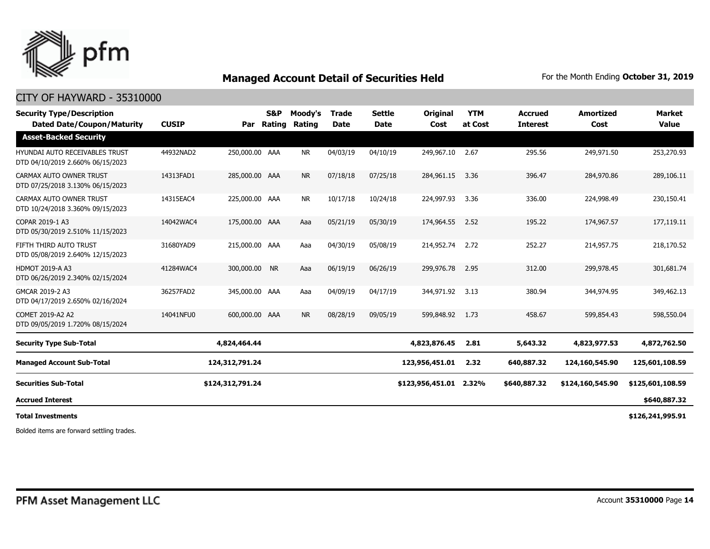

#### CITY OF HAYWARD - 35310000

| <b>Security Type/Description</b><br><b>Dated Date/Coupon/Maturity</b> | <b>CUSIP</b> | Par              | <b>S&amp;P</b><br>Rating | Moody's<br>Rating | <b>Trade</b><br><b>Date</b> | <b>Settle</b><br><b>Date</b> | Original<br>Cost | <b>YTM</b><br>at Cost | <b>Accrued</b><br><b>Interest</b> | <b>Amortized</b><br>Cost | <b>Market</b><br>Value |
|-----------------------------------------------------------------------|--------------|------------------|--------------------------|-------------------|-----------------------------|------------------------------|------------------|-----------------------|-----------------------------------|--------------------------|------------------------|
| <b>Asset-Backed Security</b>                                          |              |                  |                          |                   |                             |                              |                  |                       |                                   |                          |                        |
| HYUNDAI AUTO RECEIVABLES TRUST<br>DTD 04/10/2019 2.660% 06/15/2023    | 44932NAD2    | 250,000.00 AAA   |                          | <b>NR</b>         | 04/03/19                    | 04/10/19                     | 249,967.10       | 2.67                  | 295.56                            | 249,971.50               | 253,270.93             |
| CARMAX AUTO OWNER TRUST<br>DTD 07/25/2018 3.130% 06/15/2023           | 14313FAD1    | 285,000.00 AAA   |                          | <b>NR</b>         | 07/18/18                    | 07/25/18                     | 284,961.15       | 3.36                  | 396.47                            | 284,970.86               | 289,106.11             |
| CARMAX AUTO OWNER TRUST<br>DTD 10/24/2018 3.360% 09/15/2023           | 14315EAC4    | 225,000.00 AAA   |                          | <b>NR</b>         | 10/17/18                    | 10/24/18                     | 224,997.93       | 3.36                  | 336.00                            | 224,998.49               | 230,150.41             |
| COPAR 2019-1 A3<br>DTD 05/30/2019 2.510% 11/15/2023                   | 14042WAC4    | 175,000.00 AAA   |                          | Aaa               | 05/21/19                    | 05/30/19                     | 174,964.55       | 2.52                  | 195.22                            | 174,967.57               | 177,119.11             |
| FIFTH THIRD AUTO TRUST<br>DTD 05/08/2019 2.640% 12/15/2023            | 31680YAD9    | 215,000.00 AAA   |                          | Aaa               | 04/30/19                    | 05/08/19                     | 214,952.74       | 2.72                  | 252.27                            | 214,957.75               | 218,170.52             |
| <b>HDMOT 2019-A A3</b><br>DTD 06/26/2019 2.340% 02/15/2024            | 41284WAC4    | 300,000.00 NR    |                          | Aaa               | 06/19/19                    | 06/26/19                     | 299,976.78       | 2.95                  | 312.00                            | 299,978.45               | 301,681.74             |
| GMCAR 2019-2 A3<br>DTD 04/17/2019 2.650% 02/16/2024                   | 36257FAD2    | 345,000.00 AAA   |                          | Aaa               | 04/09/19                    | 04/17/19                     | 344,971.92       | 3.13                  | 380.94                            | 344,974.95               | 349,462.13             |
| COMET 2019-A2 A2<br>DTD 09/05/2019 1.720% 08/15/2024                  | 14041NFU0    | 600,000.00 AAA   |                          | <b>NR</b>         | 08/28/19                    | 09/05/19                     | 599,848.92       | 1.73                  | 458.67                            | 599,854.43               | 598,550.04             |
| <b>Security Type Sub-Total</b>                                        |              | 4,824,464.44     |                          |                   |                             |                              | 4,823,876.45     | 2.81                  | 5,643.32                          | 4,823,977.53             | 4,872,762.50           |
| <b>Managed Account Sub-Total</b>                                      |              | 124,312,791.24   |                          |                   |                             |                              | 123,956,451.01   | 2.32                  | 640,887.32                        | 124,160,545.90           | 125,601,108.59         |
| <b>Securities Sub-Total</b>                                           |              | \$124,312,791.24 |                          |                   |                             |                              | \$123,956,451.01 | 2.32%                 | \$640,887.32                      | \$124,160,545.90         | \$125,601,108.59       |
| <b>Accrued Interest</b>                                               |              |                  |                          |                   |                             |                              |                  |                       |                                   |                          | \$640,887.32           |
| <b>Total Investments</b>                                              |              |                  |                          |                   |                             |                              |                  |                       |                                   |                          | \$126,241,995.91       |

Bolded items are forward settling trades.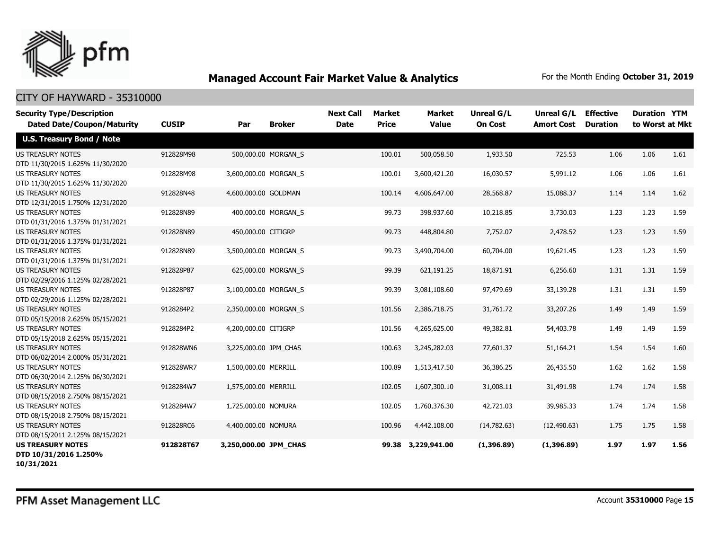

| <b>Security Type/Description</b><br><b>Dated Date/Coupon/Maturity</b> | <b>CUSIP</b> | Par                   | <b>Broker</b>       | <b>Next Call</b><br><b>Date</b> | <b>Market</b><br><b>Price</b> | Market<br><b>Value</b> | <b>Unreal G/L</b><br><b>On Cost</b> | Unreal G/L<br><b>Amort Cost</b> | <b>Effective</b><br><b>Duration</b> | <b>Duration YTM</b><br>to Worst at Mkt |      |
|-----------------------------------------------------------------------|--------------|-----------------------|---------------------|---------------------------------|-------------------------------|------------------------|-------------------------------------|---------------------------------|-------------------------------------|----------------------------------------|------|
| <b>U.S. Treasury Bond / Note</b>                                      |              |                       |                     |                                 |                               |                        |                                     |                                 |                                     |                                        |      |
| <b>US TREASURY NOTES</b><br>DTD 11/30/2015 1.625% 11/30/2020          | 912828M98    |                       | 500,000.00 MORGAN S |                                 | 100.01                        | 500,058.50             | 1,933.50                            | 725.53                          | 1.06                                | 1.06                                   | 1.61 |
| <b>US TREASURY NOTES</b><br>DTD 11/30/2015 1.625% 11/30/2020          | 912828M98    | 3,600,000.00 MORGAN S |                     |                                 | 100.01                        | 3,600,421.20           | 16,030.57                           | 5,991.12                        | 1.06                                | 1.06                                   | 1.61 |
| <b>US TREASURY NOTES</b><br>DTD 12/31/2015 1.750% 12/31/2020          | 912828N48    | 4,600,000.00 GOLDMAN  |                     |                                 | 100.14                        | 4,606,647,00           | 28,568.87                           | 15,088.37                       | 1.14                                | 1.14                                   | 1.62 |
| <b>US TREASURY NOTES</b><br>DTD 01/31/2016 1.375% 01/31/2021          | 912828N89    |                       | 400,000.00 MORGAN S |                                 | 99.73                         | 398,937.60             | 10,218.85                           | 3,730.03                        | 1.23                                | 1.23                                   | 1.59 |
| <b>US TREASURY NOTES</b><br>DTD 01/31/2016 1.375% 01/31/2021          | 912828N89    | 450,000.00 CITIGRP    |                     |                                 | 99.73                         | 448,804.80             | 7,752.07                            | 2,478.52                        | 1.23                                | 1.23                                   | 1.59 |
| <b>US TREASURY NOTES</b><br>DTD 01/31/2016 1.375% 01/31/2021          | 912828N89    | 3,500,000.00 MORGAN S |                     |                                 | 99.73                         | 3,490,704.00           | 60,704.00                           | 19,621.45                       | 1.23                                | 1.23                                   | 1.59 |
| <b>US TREASURY NOTES</b><br>DTD 02/29/2016 1.125% 02/28/2021          | 912828P87    |                       | 625,000.00 MORGAN S |                                 | 99.39                         | 621,191.25             | 18,871.91                           | 6,256.60                        | 1.31                                | 1.31                                   | 1.59 |
| <b>US TREASURY NOTES</b><br>DTD 02/29/2016 1.125% 02/28/2021          | 912828P87    | 3,100,000.00 MORGAN_S |                     |                                 | 99.39                         | 3,081,108.60           | 97,479.69                           | 33,139.28                       | 1.31                                | 1.31                                   | 1.59 |
| <b>US TREASURY NOTES</b><br>DTD 05/15/2018 2.625% 05/15/2021          | 9128284P2    | 2,350,000.00 MORGAN_S |                     |                                 | 101.56                        | 2,386,718.75           | 31,761.72                           | 33,207.26                       | 1.49                                | 1.49                                   | 1.59 |
| <b>US TREASURY NOTES</b><br>DTD 05/15/2018 2.625% 05/15/2021          | 9128284P2    | 4,200,000.00 CITIGRP  |                     |                                 | 101.56                        | 4,265,625.00           | 49,382.81                           | 54,403.78                       | 1.49                                | 1.49                                   | 1.59 |
| <b>US TREASURY NOTES</b><br>DTD 06/02/2014 2.000% 05/31/2021          | 912828WN6    | 3,225,000.00 JPM_CHAS |                     |                                 | 100.63                        | 3,245,282.03           | 77,601.37                           | 51,164.21                       | 1.54                                | 1.54                                   | 1.60 |
| US TREASURY NOTES<br>DTD 06/30/2014 2.125% 06/30/2021                 | 912828WR7    | 1,500,000.00 MERRILL  |                     |                                 | 100.89                        | 1,513,417.50           | 36,386.25                           | 26,435.50                       | 1.62                                | 1.62                                   | 1.58 |
| <b>US TREASURY NOTES</b><br>DTD 08/15/2018 2.750% 08/15/2021          | 9128284W7    | 1,575,000.00 MERRILL  |                     |                                 | 102.05                        | 1,607,300.10           | 31,008.11                           | 31,491.98                       | 1.74                                | 1.74                                   | 1.58 |
| <b>US TREASURY NOTES</b><br>DTD 08/15/2018 2.750% 08/15/2021          | 9128284W7    | 1,725,000.00 NOMURA   |                     |                                 | 102.05                        | 1,760,376.30           | 42,721.03                           | 39,985.33                       | 1.74                                | 1.74                                   | 1.58 |
| <b>US TREASURY NOTES</b><br>DTD 08/15/2011 2.125% 08/15/2021          | 912828RC6    | 4,400,000.00 NOMURA   |                     |                                 | 100.96                        | 4,442,108.00           | (14, 782.63)                        | (12, 490.63)                    | 1.75                                | 1.75                                   | 1.58 |
| <b>US TREASURY NOTES</b><br>DTD 10/31/2016 1.250%<br>10/31/2021       | 912828T67    | 3,250,000.00 JPM CHAS |                     |                                 |                               | 99.38 3,229,941.00     | (1,396.89)                          | (1,396.89)                      | 1.97                                | 1.97                                   | 1.56 |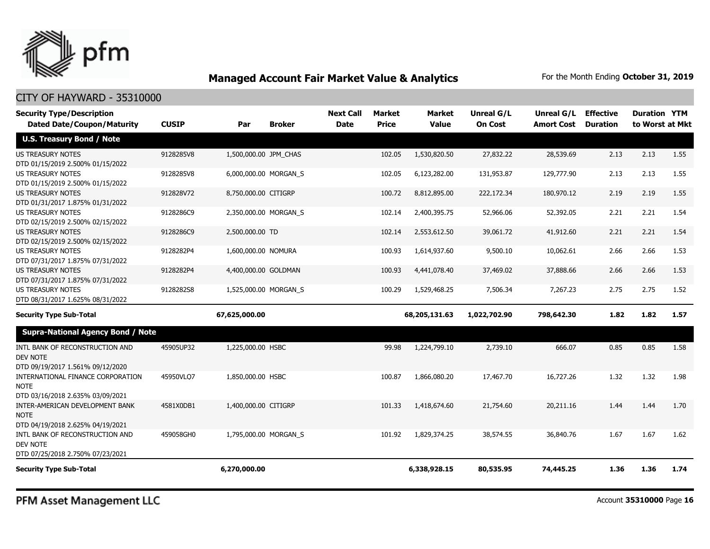

#### CITY OF HAYWARD - 35310000

| <b>Security Type/Description</b><br><b>Dated Date/Coupon/Maturity</b>                  | <b>CUSIP</b> | Par                   | <b>Broker</b> | <b>Next Call</b><br><b>Date</b> | <b>Market</b><br><b>Price</b> | <b>Market</b><br><b>Value</b> | <b>Unreal G/L</b><br><b>On Cost</b> | Unreal G/L<br><b>Amort Cost</b> | <b>Effective</b><br><b>Duration</b> | <b>Duration YTM</b><br>to Worst at Mkt |      |
|----------------------------------------------------------------------------------------|--------------|-----------------------|---------------|---------------------------------|-------------------------------|-------------------------------|-------------------------------------|---------------------------------|-------------------------------------|----------------------------------------|------|
| <b>U.S. Treasury Bond / Note</b>                                                       |              |                       |               |                                 |                               |                               |                                     |                                 |                                     |                                        |      |
| <b>US TREASURY NOTES</b><br>DTD 01/15/2019 2.500% 01/15/2022                           | 9128285V8    | 1,500,000.00 JPM_CHAS |               |                                 | 102.05                        | 1,530,820.50                  | 27,832.22                           | 28,539.69                       | 2.13                                | 2.13                                   | 1.55 |
| <b>US TREASURY NOTES</b><br>DTD 01/15/2019 2.500% 01/15/2022                           | 9128285V8    | 6,000,000.00 MORGAN_S |               |                                 | 102.05                        | 6,123,282.00                  | 131,953.87                          | 129,777.90                      | 2.13                                | 2.13                                   | 1.55 |
| <b>US TREASURY NOTES</b><br>DTD 01/31/2017 1.875% 01/31/2022                           | 912828V72    | 8,750,000.00 CITIGRP  |               |                                 | 100.72                        | 8,812,895.00                  | 222,172.34                          | 180,970.12                      | 2.19                                | 2.19                                   | 1.55 |
| <b>US TREASURY NOTES</b><br>DTD 02/15/2019 2.500% 02/15/2022                           | 9128286C9    | 2,350,000.00 MORGAN_S |               |                                 | 102.14                        | 2,400,395.75                  | 52,966.06                           | 52,392.05                       | 2.21                                | 2.21                                   | 1.54 |
| <b>US TREASURY NOTES</b><br>DTD 02/15/2019 2.500% 02/15/2022                           | 9128286C9    | 2,500,000.00 TD       |               |                                 | 102.14                        | 2,553,612.50                  | 39,061.72                           | 41,912.60                       | 2.21                                | 2.21                                   | 1.54 |
| <b>US TREASURY NOTES</b><br>DTD 07/31/2017 1.875% 07/31/2022                           | 9128282P4    | 1,600,000.00 NOMURA   |               |                                 | 100.93                        | 1,614,937.60                  | 9,500.10                            | 10,062.61                       | 2.66                                | 2.66                                   | 1.53 |
| <b>US TREASURY NOTES</b><br>DTD 07/31/2017 1.875% 07/31/2022                           | 9128282P4    | 4,400,000.00 GOLDMAN  |               |                                 | 100.93                        | 4,441,078.40                  | 37,469.02                           | 37,888.66                       | 2.66                                | 2.66                                   | 1.53 |
| <b>US TREASURY NOTES</b><br>DTD 08/31/2017 1.625% 08/31/2022                           | 9128282S8    | 1,525,000.00 MORGAN_S |               |                                 | 100.29                        | 1,529,468.25                  | 7,506.34                            | 7,267.23                        | 2.75                                | 2.75                                   | 1.52 |
| <b>Security Type Sub-Total</b>                                                         |              | 67,625,000.00         |               |                                 |                               | 68,205,131.63                 | 1,022,702.90                        | 798,642.30                      | 1.82                                | 1.82                                   | 1.57 |
| <b>Supra-National Agency Bond / Note</b>                                               |              |                       |               |                                 |                               |                               |                                     |                                 |                                     |                                        |      |
| INTL BANK OF RECONSTRUCTION AND<br><b>DEV NOTE</b><br>DTD 09/19/2017 1.561% 09/12/2020 | 45905UP32    | 1,225,000.00 HSBC     |               |                                 | 99.98                         | 1,224,799.10                  | 2,739.10                            | 666.07                          | 0.85                                | 0.85                                   | 1.58 |
| INTERNATIONAL FINANCE CORPORATION<br><b>NOTE</b><br>DTD 03/16/2018 2.635% 03/09/2021   | 45950VLQ7    | 1,850,000.00 HSBC     |               |                                 | 100.87                        | 1,866,080.20                  | 17,467.70                           | 16,727.26                       | 1.32                                | 1.32                                   | 1.98 |
| INTER-AMERICAN DEVELOPMENT BANK<br><b>NOTE</b><br>DTD 04/19/2018 2.625% 04/19/2021     | 4581X0DB1    | 1,400,000.00 CITIGRP  |               |                                 | 101.33                        | 1,418,674.60                  | 21,754.60                           | 20,211.16                       | 1.44                                | 1.44                                   | 1.70 |
| INTL BANK OF RECONSTRUCTION AND<br>DEV NOTE<br>DTD 07/25/2018 2.750% 07/23/2021        | 459058GH0    | 1,795,000.00 MORGAN_S |               |                                 | 101.92                        | 1,829,374.25                  | 38,574.55                           | 36,840,76                       | 1.67                                | 1.67                                   | 1.62 |
| <b>Security Type Sub-Total</b>                                                         |              | 6,270,000.00          |               |                                 |                               | 6,338,928.15                  | 80,535.95                           | 74,445.25                       | 1.36                                | 1.36                                   | 1.74 |

PFM Asset Management LLC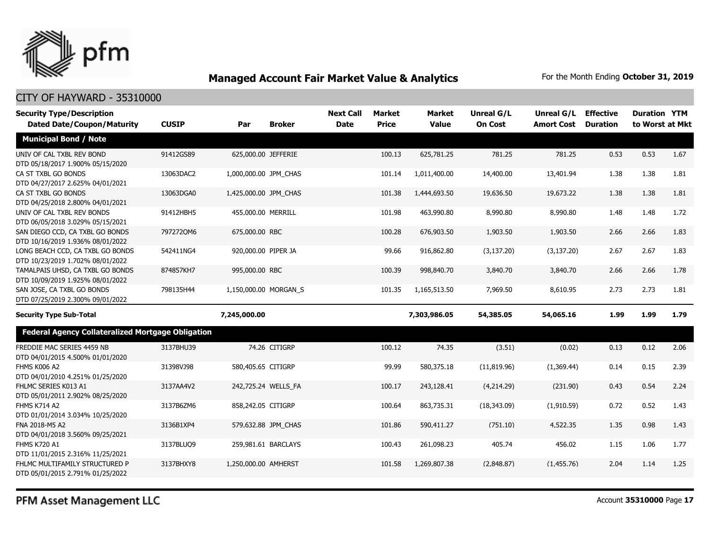

| <b>Security Type/Description</b><br><b>Dated Date/Coupon/Maturity</b> | <b>CUSIP</b> | Par                   | <b>Broker</b>         | <b>Next Call</b><br><b>Date</b> | <b>Market</b><br><b>Price</b> | <b>Market</b><br><b>Value</b> | Unreal G/L<br><b>On Cost</b> | Unreal G/L<br><b>Amort Cost</b> | <b>Effective</b><br><b>Duration</b> | <b>Duration YTM</b><br>to Worst at Mkt |      |
|-----------------------------------------------------------------------|--------------|-----------------------|-----------------------|---------------------------------|-------------------------------|-------------------------------|------------------------------|---------------------------------|-------------------------------------|----------------------------------------|------|
| <b>Municipal Bond / Note</b>                                          |              |                       |                       |                                 |                               |                               |                              |                                 |                                     |                                        |      |
| UNIV OF CAL TXBL REV BOND<br>DTD 05/18/2017 1.900% 05/15/2020         | 91412GS89    | 625,000.00 JEFFERIE   |                       |                                 | 100.13                        | 625,781.25                    | 781.25                       | 781.25                          | 0.53                                | 0.53                                   | 1.67 |
| CA ST TXBL GO BONDS<br>DTD 04/27/2017 2.625% 04/01/2021               | 13063DAC2    | 1,000,000.00 JPM_CHAS |                       |                                 | 101.14                        | 1,011,400.00                  | 14,400.00                    | 13,401.94                       | 1.38                                | 1.38                                   | 1.81 |
| CA ST TXBL GO BONDS<br>DTD 04/25/2018 2.800% 04/01/2021               | 13063DGA0    | 1,425,000.00 JPM_CHAS |                       |                                 | 101.38                        | 1,444,693.50                  | 19,636.50                    | 19,673.22                       | 1.38                                | 1.38                                   | 1.81 |
| UNIV OF CAL TXBL REV BONDS<br>DTD 06/05/2018 3.029% 05/15/2021        | 91412HBH5    | 455,000.00 MERRILL    |                       |                                 | 101.98                        | 463,990.80                    | 8,990.80                     | 8,990.80                        | 1.48                                | 1.48                                   | 1.72 |
| SAN DIEGO CCD, CA TXBL GO BONDS<br>DTD 10/16/2019 1.936% 08/01/2022   | 7972720M6    | 675,000.00 RBC        |                       |                                 | 100.28                        | 676,903.50                    | 1,903.50                     | 1,903.50                        | 2.66                                | 2.66                                   | 1.83 |
| LONG BEACH CCD, CA TXBL GO BONDS<br>DTD 10/23/2019 1.702% 08/01/2022  | 542411NG4    | 920,000.00 PIPER JA   |                       |                                 | 99.66                         | 916,862.80                    | (3, 137.20)                  | (3, 137.20)                     | 2.67                                | 2.67                                   | 1.83 |
| TAMALPAIS UHSD, CA TXBL GO BONDS<br>DTD 10/09/2019 1.925% 08/01/2022  | 874857KH7    | 995,000.00 RBC        |                       |                                 | 100.39                        | 998,840.70                    | 3,840.70                     | 3,840.70                        | 2.66                                | 2.66                                   | 1.78 |
| SAN JOSE, CA TXBL GO BONDS<br>DTD 07/25/2019 2.300% 09/01/2022        | 798135H44    |                       | 1,150,000.00 MORGAN S |                                 | 101.35                        | 1,165,513.50                  | 7,969.50                     | 8,610.95                        | 2.73                                | 2.73                                   | 1.81 |
| <b>Security Type Sub-Total</b>                                        |              | 7,245,000.00          |                       |                                 |                               | 7,303,986.05                  | 54,385.05                    | 54,065.16                       | 1.99                                | 1.99                                   | 1.79 |
| <b>Federal Agency Collateralized Mortgage Obligation</b>              |              |                       |                       |                                 |                               |                               |                              |                                 |                                     |                                        |      |
| FREDDIE MAC SERIES 4459 NB<br>DTD 04/01/2015 4.500% 01/01/2020        | 3137BHU39    |                       | 74.26 CITIGRP         |                                 | 100.12                        | 74.35                         | (3.51)                       | (0.02)                          | 0.13                                | 0.12                                   | 2.06 |
| FHMS K006 A2<br>DTD 04/01/2010 4.251% 01/25/2020                      | 31398VJ98    | 580,405.65 CITIGRP    |                       |                                 | 99.99                         | 580,375.18                    | (11, 819.96)                 | (1,369.44)                      | 0.14                                | 0.15                                   | 2.39 |
| FHLMC SERIES K013 A1<br>DTD 05/01/2011 2.902% 08/25/2020              | 3137AA4V2    |                       | 242,725.24 WELLS_FA   |                                 | 100.17                        | 243,128.41                    | (4,214.29)                   | (231.90)                        | 0.43                                | 0.54                                   | 2.24 |
| <b>FHMS K714 A2</b><br>DTD 01/01/2014 3.034% 10/25/2020               | 3137B6ZM6    | 858,242.05 CITIGRP    |                       |                                 | 100.64                        | 863,735.31                    | (18, 343.09)                 | (1,910.59)                      | 0.72                                | 0.52                                   | 1.43 |
| FNA 2018-M5 A2<br>DTD 04/01/2018 3.560% 09/25/2021                    | 3136B1XP4    |                       | 579,632.88 JPM CHAS   |                                 | 101.86                        | 590,411.27                    | (751.10)                     | 4,522.35                        | 1.35                                | 0.98                                   | 1.43 |
| <b>FHMS K720 A1</b><br>DTD 11/01/2015 2.316% 11/25/2021               | 3137BLUQ9    |                       | 259,981.61 BARCLAYS   |                                 | 100.43                        | 261,098.23                    | 405.74                       | 456.02                          | 1.15                                | 1.06                                   | 1.77 |
| FHLMC MULTIFAMILY STRUCTURED P<br>DTD 05/01/2015 2.791% 01/25/2022    | 3137BHXY8    | 1,250,000.00 AMHERST  |                       |                                 | 101.58                        | 1,269,807.38                  | (2,848.87)                   | (1,455.76)                      | 2.04                                | 1.14                                   | 1.25 |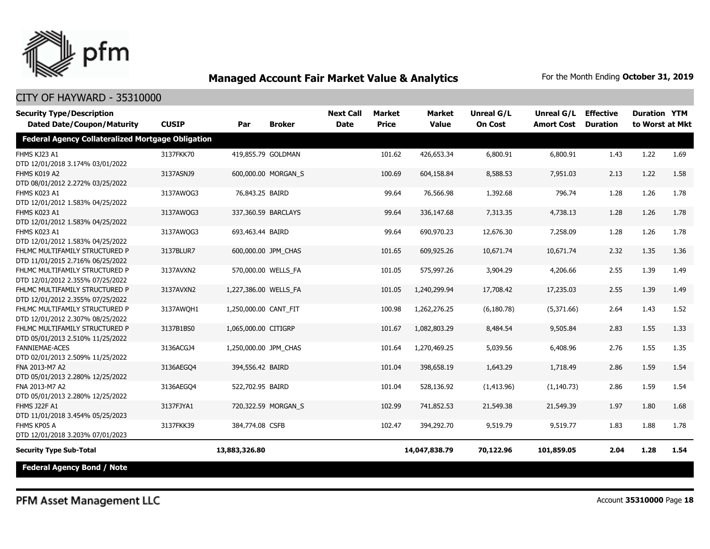

| <b>Security Type/Description</b><br><b>Dated Date/Coupon/Maturity</b> | <b>CUSIP</b> | Par                   | <b>Broker</b>       | <b>Next Call</b><br><b>Date</b> | <b>Market</b><br><b>Price</b> | <b>Market</b><br><b>Value</b> | <b>Unreal G/L</b><br><b>On Cost</b> | Unreal G/L<br><b>Amort Cost</b> | <b>Effective</b><br><b>Duration</b> | <b>Duration YTM</b><br>to Worst at Mkt |      |
|-----------------------------------------------------------------------|--------------|-----------------------|---------------------|---------------------------------|-------------------------------|-------------------------------|-------------------------------------|---------------------------------|-------------------------------------|----------------------------------------|------|
| <b>Federal Agency Collateralized Mortgage Obligation</b>              |              |                       |                     |                                 |                               |                               |                                     |                                 |                                     |                                        |      |
| FHMS KJ23 A1<br>DTD 12/01/2018 3.174% 03/01/2022                      | 3137FKK70    | 419,855.79 GOLDMAN    |                     |                                 | 101.62                        | 426,653.34                    | 6,800.91                            | 6,800.91                        | 1.43                                | 1.22                                   | 1.69 |
| FHMS K019 A2<br>DTD 08/01/2012 2.272% 03/25/2022                      | 3137ASNJ9    |                       | 600,000.00 MORGAN S |                                 | 100.69                        | 604,158.84                    | 8,588.53                            | 7,951.03                        | 2.13                                | 1.22                                   | 1.58 |
| FHMS K023 A1<br>DTD 12/01/2012 1.583% 04/25/2022                      | 3137AWQG3    | 76,843.25 BAIRD       |                     |                                 | 99.64                         | 76,566.98                     | 1,392.68                            | 796.74                          | 1.28                                | 1.26                                   | 1.78 |
| FHMS K023 A1<br>DTD 12/01/2012 1.583% 04/25/2022                      | 3137AWQG3    | 337,360.59 BARCLAYS   |                     |                                 | 99.64                         | 336,147.68                    | 7,313.35                            | 4,738.13                        | 1.28                                | 1.26                                   | 1.78 |
| FHMS K023 A1<br>DTD 12/01/2012 1.583% 04/25/2022                      | 3137AWQG3    | 693,463.44 BAIRD      |                     |                                 | 99.64                         | 690,970.23                    | 12,676.30                           | 7,258.09                        | 1.28                                | 1.26                                   | 1.78 |
| FHLMC MULTIFAMILY STRUCTURED P<br>DTD 11/01/2015 2.716% 06/25/2022    | 3137BLUR7    | 600,000.00 JPM_CHAS   |                     |                                 | 101.65                        | 609,925.26                    | 10,671.74                           | 10,671.74                       | 2.32                                | 1.35                                   | 1.36 |
| FHLMC MULTIFAMILY STRUCTURED P<br>DTD 12/01/2012 2.355% 07/25/2022    | 3137AVXN2    | 570,000.00 WELLS_FA   |                     |                                 | 101.05                        | 575,997.26                    | 3,904.29                            | 4,206.66                        | 2.55                                | 1.39                                   | 1.49 |
| FHLMC MULTIFAMILY STRUCTURED P<br>DTD 12/01/2012 2.355% 07/25/2022    | 3137AVXN2    | 1,227,386.00 WELLS_FA |                     |                                 | 101.05                        | 1,240,299.94                  | 17,708.42                           | 17,235.03                       | 2.55                                | 1.39                                   | 1.49 |
| FHLMC MULTIFAMILY STRUCTURED P<br>DTD 12/01/2012 2.307% 08/25/2022    | 3137AWQH1    | 1,250,000.00 CANT_FIT |                     |                                 | 100.98                        | 1,262,276.25                  | (6, 180.78)                         | (5,371.66)                      | 2.64                                | 1.43                                   | 1.52 |
| FHLMC MULTIFAMILY STRUCTURED P<br>DTD 05/01/2013 2.510% 11/25/2022    | 3137B1BS0    | 1,065,000.00 CITIGRP  |                     |                                 | 101.67                        | 1,082,803.29                  | 8,484.54                            | 9,505.84                        | 2.83                                | 1.55                                   | 1.33 |
| <b>FANNIEMAE-ACES</b><br>DTD 02/01/2013 2.509% 11/25/2022             | 3136ACGJ4    | 1,250,000.00 JPM_CHAS |                     |                                 | 101.64                        | 1,270,469.25                  | 5,039.56                            | 6,408.96                        | 2.76                                | 1.55                                   | 1.35 |
| FNA 2013-M7 A2<br>DTD 05/01/2013 2.280% 12/25/2022                    | 3136AEGQ4    | 394,556.42 BAIRD      |                     |                                 | 101.04                        | 398,658.19                    | 1,643.29                            | 1,718.49                        | 2.86                                | 1.59                                   | 1.54 |
| FNA 2013-M7 A2<br>DTD 05/01/2013 2.280% 12/25/2022                    | 3136AEGO4    | 522,702.95 BAIRD      |                     |                                 | 101.04                        | 528,136.92                    | (1, 413.96)                         | (1, 140.73)                     | 2.86                                | 1.59                                   | 1.54 |
| <b>FHMS J22F A1</b><br>DTD 11/01/2018 3.454% 05/25/2023               | 3137FJYA1    |                       | 720,322.59 MORGAN_S |                                 | 102.99                        | 741,852.53                    | 21,549.38                           | 21,549.39                       | 1.97                                | 1.80                                   | 1.68 |
| FHMS KP05 A<br>DTD 12/01/2018 3.203% 07/01/2023                       | 3137FKK39    | 384,774.08 CSFB       |                     |                                 | 102.47                        | 394,292.70                    | 9,519.79                            | 9,519.77                        | 1.83                                | 1.88                                   | 1.78 |
| <b>Security Type Sub-Total</b>                                        |              | 13,883,326.80         |                     |                                 |                               | 14,047,838.79                 | 70,122.96                           | 101,859.05                      | 2.04                                | 1.28                                   | 1.54 |
| <b>Federal Agency Bond / Note</b>                                     |              |                       |                     |                                 |                               |                               |                                     |                                 |                                     |                                        |      |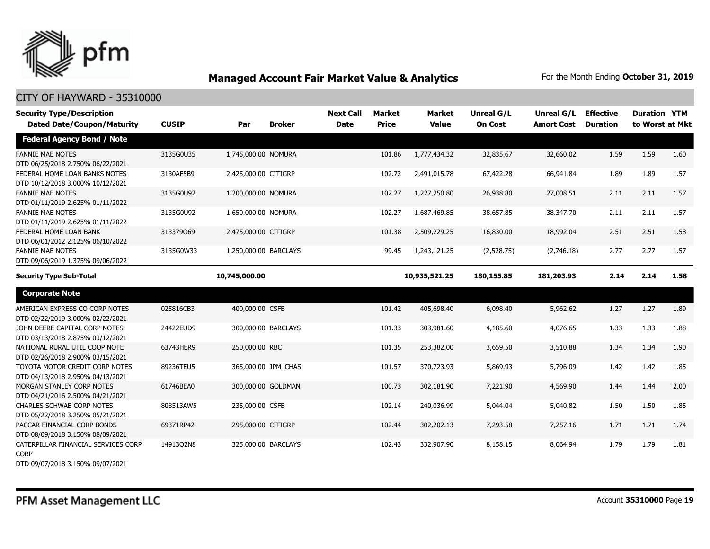

| <b>Security Type/Description</b><br><b>Dated Date/Coupon/Maturity</b>                  | <b>CUSIP</b> | Par                   | <b>Broker</b>       | <b>Next Call</b><br><b>Date</b> | <b>Market</b><br><b>Price</b> | Market<br><b>Value</b> | <b>Unreal G/L</b><br><b>On Cost</b> | Unreal G/L<br><b>Amort Cost</b> | <b>Effective</b><br><b>Duration</b> | <b>Duration YTM</b><br>to Worst at Mkt |      |
|----------------------------------------------------------------------------------------|--------------|-----------------------|---------------------|---------------------------------|-------------------------------|------------------------|-------------------------------------|---------------------------------|-------------------------------------|----------------------------------------|------|
| <b>Federal Agency Bond / Note</b>                                                      |              |                       |                     |                                 |                               |                        |                                     |                                 |                                     |                                        |      |
| <b>FANNIE MAE NOTES</b><br>DTD 06/25/2018 2.750% 06/22/2021                            | 3135G0U35    | 1,745,000.00 NOMURA   |                     |                                 | 101.86                        | 1,777,434.32           | 32,835.67                           | 32,660.02                       | 1.59                                | 1.59                                   | 1.60 |
| FEDERAL HOME LOAN BANKS NOTES<br>DTD 10/12/2018 3.000% 10/12/2021                      | 3130AF5B9    | 2,425,000.00 CITIGRP  |                     |                                 | 102.72                        | 2,491,015.78           | 67,422.28                           | 66,941.84                       | 1.89                                | 1.89                                   | 1.57 |
| <b>FANNIE MAE NOTES</b><br>DTD 01/11/2019 2.625% 01/11/2022                            | 3135G0U92    | 1,200,000.00 NOMURA   |                     |                                 | 102.27                        | 1,227,250.80           | 26,938.80                           | 27,008.51                       | 2.11                                | 2.11                                   | 1.57 |
| <b>FANNIE MAE NOTES</b><br>DTD 01/11/2019 2.625% 01/11/2022                            | 3135G0U92    | 1,650,000.00 NOMURA   |                     |                                 | 102.27                        | 1,687,469.85           | 38,657.85                           | 38,347.70                       | 2.11                                | 2.11                                   | 1.57 |
| FEDERAL HOME LOAN BANK<br>DTD 06/01/2012 2.125% 06/10/2022                             | 313379069    | 2,475,000.00 CITIGRP  |                     |                                 | 101.38                        | 2,509,229.25           | 16,830.00                           | 18,992.04                       | 2.51                                | 2.51                                   | 1.58 |
| <b>FANNIE MAE NOTES</b><br>DTD 09/06/2019 1.375% 09/06/2022                            | 3135G0W33    | 1,250,000.00 BARCLAYS |                     |                                 | 99.45                         | 1,243,121.25           | (2,528.75)                          | (2,746.18)                      | 2.77                                | 2.77                                   | 1.57 |
| <b>Security Type Sub-Total</b>                                                         |              | 10,745,000.00         |                     |                                 |                               | 10,935,521.25          | 180,155.85                          | 181,203.93                      | 2.14                                | 2.14                                   | 1.58 |
| <b>Corporate Note</b>                                                                  |              |                       |                     |                                 |                               |                        |                                     |                                 |                                     |                                        |      |
| AMERICAN EXPRESS CO CORP NOTES<br>DTD 02/22/2019 3.000% 02/22/2021                     | 025816CB3    | 400,000.00 CSFB       |                     |                                 | 101.42                        | 405,698.40             | 6,098.40                            | 5,962.62                        | 1.27                                | 1.27                                   | 1.89 |
| JOHN DEERE CAPITAL CORP NOTES<br>DTD 03/13/2018 2.875% 03/12/2021                      | 24422EUD9    |                       | 300,000.00 BARCLAYS |                                 | 101.33                        | 303,981.60             | 4,185.60                            | 4,076.65                        | 1.33                                | 1.33                                   | 1.88 |
| NATIONAL RURAL UTIL COOP NOTE<br>DTD 02/26/2018 2.900% 03/15/2021                      | 63743HER9    | 250,000.00 RBC        |                     |                                 | 101.35                        | 253,382.00             | 3,659.50                            | 3,510.88                        | 1.34                                | 1.34                                   | 1.90 |
| TOYOTA MOTOR CREDIT CORP NOTES<br>DTD 04/13/2018 2.950% 04/13/2021                     | 89236TEU5    |                       | 365,000.00 JPM_CHAS |                                 | 101.57                        | 370,723.93             | 5,869.93                            | 5,796.09                        | 1.42                                | 1.42                                   | 1.85 |
| MORGAN STANLEY CORP NOTES<br>DTD 04/21/2016 2.500% 04/21/2021                          | 61746BEA0    |                       | 300,000.00 GOLDMAN  |                                 | 100.73                        | 302,181.90             | 7,221.90                            | 4,569.90                        | 1.44                                | 1.44                                   | 2.00 |
| <b>CHARLES SCHWAB CORP NOTES</b><br>DTD 05/22/2018 3.250% 05/21/2021                   | 808513AW5    | 235,000.00 CSFB       |                     |                                 | 102.14                        | 240,036.99             | 5,044.04                            | 5,040.82                        | 1.50                                | 1.50                                   | 1.85 |
| PACCAR FINANCIAL CORP BONDS<br>DTD 08/09/2018 3.150% 08/09/2021                        | 69371RP42    | 295,000.00 CITIGRP    |                     |                                 | 102.44                        | 302,202.13             | 7,293.58                            | 7,257.16                        | 1.71                                | 1.71                                   | 1.74 |
| CATERPILLAR FINANCIAL SERVICES CORP<br><b>CORP</b><br>DTD 09/07/2018 3.150% 09/07/2021 | 14913Q2N8    |                       | 325,000.00 BARCLAYS |                                 | 102.43                        | 332,907.90             | 8,158.15                            | 8,064.94                        | 1.79                                | 1.79                                   | 1.81 |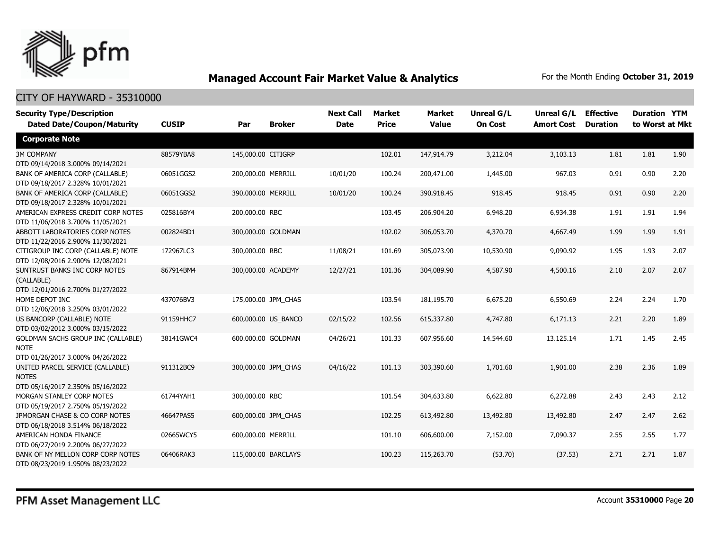

| <b>Security Type/Description</b><br><b>Dated Date/Coupon/Maturity</b>                 | <b>CUSIP</b> | Par                 | <b>Broker</b>       | <b>Next Call</b><br><b>Date</b> | <b>Market</b><br><b>Price</b> | <b>Market</b><br><b>Value</b> | <b>Unreal G/L</b><br><b>On Cost</b> | Unreal G/L<br><b>Amort Cost</b> | <b>Effective</b><br><b>Duration</b> | <b>Duration YTM</b><br>to Worst at Mkt |      |
|---------------------------------------------------------------------------------------|--------------|---------------------|---------------------|---------------------------------|-------------------------------|-------------------------------|-------------------------------------|---------------------------------|-------------------------------------|----------------------------------------|------|
| <b>Corporate Note</b>                                                                 |              |                     |                     |                                 |                               |                               |                                     |                                 |                                     |                                        |      |
| <b>3M COMPANY</b><br>DTD 09/14/2018 3.000% 09/14/2021                                 | 88579YBA8    | 145,000.00 CITIGRP  |                     |                                 | 102.01                        | 147,914.79                    | 3,212.04                            | 3,103.13                        | 1.81                                | 1.81                                   | 1.90 |
| BANK OF AMERICA CORP (CALLABLE)<br>DTD 09/18/2017 2.328% 10/01/2021                   | 06051GGS2    | 200,000.00 MERRILL  |                     | 10/01/20                        | 100.24                        | 200,471.00                    | 1,445.00                            | 967.03                          | 0.91                                | 0.90                                   | 2.20 |
| BANK OF AMERICA CORP (CALLABLE)<br>DTD 09/18/2017 2.328% 10/01/2021                   | 06051GGS2    | 390,000.00 MERRILL  |                     | 10/01/20                        | 100.24                        | 390,918.45                    | 918.45                              | 918.45                          | 0.91                                | 0.90                                   | 2.20 |
| AMERICAN EXPRESS CREDIT CORP NOTES<br>DTD 11/06/2018 3.700% 11/05/2021                | 025816BY4    | 200,000.00 RBC      |                     |                                 | 103.45                        | 206,904.20                    | 6,948.20                            | 6,934.38                        | 1.91                                | 1.91                                   | 1.94 |
| ABBOTT LABORATORIES CORP NOTES<br>DTD 11/22/2016 2.900% 11/30/2021                    | 002824BD1    |                     | 300,000.00 GOLDMAN  |                                 | 102.02                        | 306,053.70                    | 4,370.70                            | 4,667.49                        | 1.99                                | 1.99                                   | 1.91 |
| CITIGROUP INC CORP (CALLABLE) NOTE<br>DTD 12/08/2016 2.900% 12/08/2021                | 172967LC3    | 300,000.00 RBC      |                     | 11/08/21                        | 101.69                        | 305,073.90                    | 10,530.90                           | 9,090.92                        | 1.95                                | 1.93                                   | 2.07 |
| SUNTRUST BANKS INC CORP NOTES<br>(CALLABLE)<br>DTD 12/01/2016 2.700% 01/27/2022       | 867914BM4    | 300,000.00 ACADEMY  |                     | 12/27/21                        | 101.36                        | 304,089.90                    | 4,587.90                            | 4,500.16                        | 2.10                                | 2.07                                   | 2.07 |
| HOME DEPOT INC<br>DTD 12/06/2018 3.250% 03/01/2022                                    | 437076BV3    |                     | 175,000.00 JPM_CHAS |                                 | 103.54                        | 181,195.70                    | 6,675.20                            | 6,550.69                        | 2.24                                | 2.24                                   | 1.70 |
| US BANCORP (CALLABLE) NOTE<br>DTD 03/02/2012 3.000% 03/15/2022                        | 91159HHC7    |                     | 600,000.00 US_BANCO | 02/15/22                        | 102.56                        | 615,337.80                    | 4,747.80                            | 6,171.13                        | 2.21                                | 2.20                                   | 1.89 |
| GOLDMAN SACHS GROUP INC (CALLABLE)<br><b>NOTE</b><br>DTD 01/26/2017 3.000% 04/26/2022 | 38141GWC4    |                     | 600,000.00 GOLDMAN  | 04/26/21                        | 101.33                        | 607,956.60                    | 14,544.60                           | 13,125.14                       | 1.71                                | 1.45                                   | 2.45 |
| UNITED PARCEL SERVICE (CALLABLE)<br><b>NOTES</b><br>DTD 05/16/2017 2.350% 05/16/2022  | 911312BC9    |                     | 300,000.00 JPM CHAS | 04/16/22                        | 101.13                        | 303,390.60                    | 1,701.60                            | 1,901.00                        | 2.38                                | 2.36                                   | 1.89 |
| MORGAN STANLEY CORP NOTES<br>DTD 05/19/2017 2.750% 05/19/2022                         | 61744YAH1    | 300,000.00 RBC      |                     |                                 | 101.54                        | 304,633.80                    | 6,622.80                            | 6,272.88                        | 2.43                                | 2.43                                   | 2.12 |
| JPMORGAN CHASE & CO CORP NOTES<br>DTD 06/18/2018 3.514% 06/18/2022                    | 46647PAS5    |                     | 600,000.00 JPM CHAS |                                 | 102.25                        | 613,492.80                    | 13,492.80                           | 13,492.80                       | 2.47                                | 2.47                                   | 2.62 |
| AMERICAN HONDA FINANCE<br>DTD 06/27/2019 2.200% 06/27/2022                            | 02665WCY5    | 600,000.00 MERRILL  |                     |                                 | 101.10                        | 606,600.00                    | 7,152.00                            | 7,090.37                        | 2.55                                | 2.55                                   | 1.77 |
| BANK OF NY MELLON CORP CORP NOTES<br>DTD 08/23/2019 1.950% 08/23/2022                 | 06406RAK3    | 115,000.00 BARCLAYS |                     |                                 | 100.23                        | 115,263.70                    | (53.70)                             | (37.53)                         | 2.71                                | 2.71                                   | 1.87 |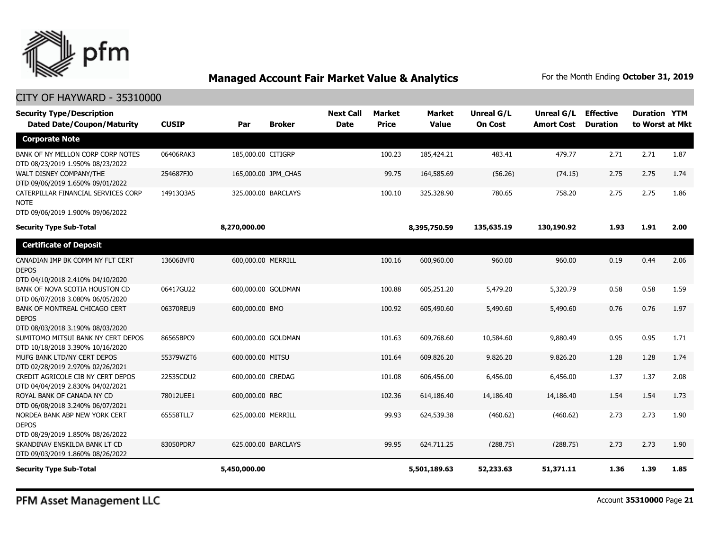

#### CITY OF HAYWARD - 35310000

| <b>Security Type/Description</b><br><b>Dated Date/Coupon/Maturity</b>                    | <b>CUSIP</b> | Par                 | <b>Broker</b> | <b>Next Call</b><br><b>Date</b> | <b>Market</b><br><b>Price</b> | Market<br><b>Value</b> | Unreal G/L<br><b>On Cost</b> | Unreal G/L<br><b>Amort Cost</b> | <b>Effective</b><br><b>Duration</b> | <b>Duration YTM</b><br>to Worst at Mkt |      |
|------------------------------------------------------------------------------------------|--------------|---------------------|---------------|---------------------------------|-------------------------------|------------------------|------------------------------|---------------------------------|-------------------------------------|----------------------------------------|------|
| <b>Corporate Note</b>                                                                    |              |                     |               |                                 |                               |                        |                              |                                 |                                     |                                        |      |
| BANK OF NY MELLON CORP CORP NOTES<br>DTD 08/23/2019 1.950% 08/23/2022                    | 06406RAK3    | 185,000.00 CITIGRP  |               |                                 | 100.23                        | 185,424.21             | 483.41                       | 479.77                          | 2.71                                | 2.71                                   | 1.87 |
| WALT DISNEY COMPANY/THE<br>DTD 09/06/2019 1.650% 09/01/2022                              | 254687FJ0    | 165,000.00 JPM_CHAS |               |                                 | 99.75                         | 164,585.69             | (56.26)                      | (74.15)                         | 2.75                                | 2.75                                   | 1.74 |
| CATERPILLAR FINANCIAL SERVICES CORP<br><b>NOTE</b><br>DTD 09/06/2019 1.900% 09/06/2022   | 14913Q3A5    | 325,000.00 BARCLAYS |               |                                 | 100.10                        | 325,328.90             | 780.65                       | 758.20                          | 2.75                                | 2.75                                   | 1.86 |
| <b>Security Type Sub-Total</b>                                                           |              | 8,270,000.00        |               |                                 |                               | 8,395,750.59           | 135,635.19                   | 130,190.92                      | 1.93                                | 1.91                                   | 2.00 |
| <b>Certificate of Deposit</b>                                                            |              |                     |               |                                 |                               |                        |                              |                                 |                                     |                                        |      |
| CANADIAN IMP BK COMM NY FLT CERT<br><b>DEPOS</b><br>DTD 04/10/2018 2.410% 04/10/2020     | 13606BVF0    | 600,000.00 MERRILL  |               |                                 | 100.16                        | 600,960.00             | 960.00                       | 960.00                          | 0.19                                | 0.44                                   | 2.06 |
| BANK OF NOVA SCOTIA HOUSTON CD<br>DTD 06/07/2018 3.080% 06/05/2020                       | 06417GU22    | 600,000.00 GOLDMAN  |               |                                 | 100.88                        | 605,251.20             | 5,479.20                     | 5,320.79                        | 0.58                                | 0.58                                   | 1.59 |
| <b>BANK OF MONTREAL CHICAGO CERT</b><br><b>DEPOS</b><br>DTD 08/03/2018 3.190% 08/03/2020 | 06370REU9    | 600,000.00 BMO      |               |                                 | 100.92                        | 605,490.60             | 5,490.60                     | 5,490.60                        | 0.76                                | 0.76                                   | 1.97 |
| SUMITOMO MITSUI BANK NY CERT DEPOS<br>DTD 10/18/2018 3.390% 10/16/2020                   | 86565BPC9    | 600,000.00 GOLDMAN  |               |                                 | 101.63                        | 609,768.60             | 10,584.60                    | 9,880.49                        | 0.95                                | 0.95                                   | 1.71 |
| MUFG BANK LTD/NY CERT DEPOS<br>DTD 02/28/2019 2.970% 02/26/2021                          | 55379WZT6    | 600,000.00 MITSU    |               |                                 | 101.64                        | 609,826.20             | 9,826.20                     | 9,826.20                        | 1.28                                | 1.28                                   | 1.74 |
| CREDIT AGRICOLE CIB NY CERT DEPOS<br>DTD 04/04/2019 2.830% 04/02/2021                    | 22535CDU2    | 600,000.00 CREDAG   |               |                                 | 101.08                        | 606,456.00             | 6,456.00                     | 6,456.00                        | 1.37                                | 1.37                                   | 2.08 |
| ROYAL BANK OF CANADA NY CD<br>DTD 06/08/2018 3.240% 06/07/2021                           | 78012UEE1    | 600,000.00 RBC      |               |                                 | 102.36                        | 614,186.40             | 14,186.40                    | 14,186.40                       | 1.54                                | 1.54                                   | 1.73 |
| NORDEA BANK ABP NEW YORK CERT<br><b>DEPOS</b><br>DTD 08/29/2019 1.850% 08/26/2022        | 65558TLL7    | 625,000.00 MERRILL  |               |                                 | 99.93                         | 624,539.38             | (460.62)                     | (460.62)                        | 2.73                                | 2.73                                   | 1.90 |
| SKANDINAV ENSKILDA BANK LT CD<br>DTD 09/03/2019 1.860% 08/26/2022                        | 83050PDR7    | 625,000.00 BARCLAYS |               |                                 | 99.95                         | 624,711.25             | (288.75)                     | (288.75)                        | 2.73                                | 2.73                                   | 1.90 |
| <b>Security Type Sub-Total</b>                                                           |              | 5,450,000.00        |               |                                 |                               | 5,501,189.63           | 52,233.63                    | 51,371.11                       | 1.36                                | 1.39                                   | 1.85 |

PFM Asset Management LLC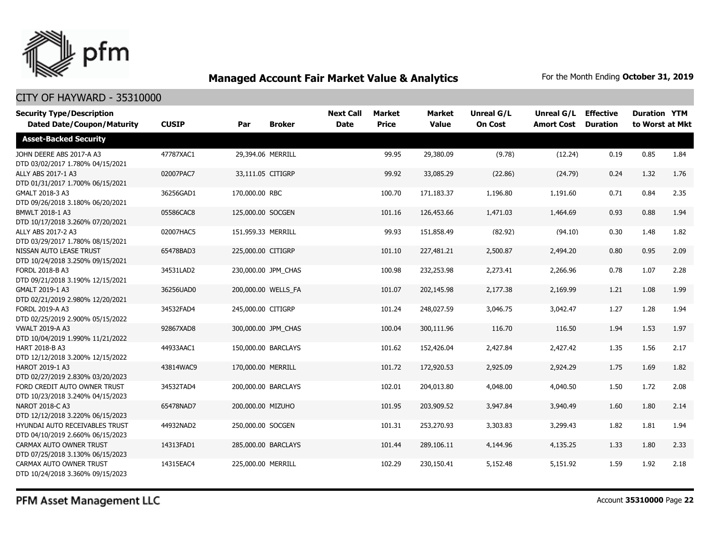

#### CITY OF HAYWARD - 35310000

| <b>Security Type/Description</b><br><b>Dated Date/Coupon/Maturity</b> | <b>CUSIP</b> | Par                | <b>Broker</b>       | <b>Next Call</b><br><b>Date</b> | <b>Market</b><br><b>Price</b> | <b>Market</b><br><b>Value</b> | Unreal G/L<br><b>On Cost</b> | Unreal G/L<br><b>Amort Cost</b> | <b>Effective</b><br><b>Duration</b> | <b>Duration YTM</b><br>to Worst at Mkt |      |
|-----------------------------------------------------------------------|--------------|--------------------|---------------------|---------------------------------|-------------------------------|-------------------------------|------------------------------|---------------------------------|-------------------------------------|----------------------------------------|------|
| <b>Asset-Backed Security</b>                                          |              |                    |                     |                                 |                               |                               |                              |                                 |                                     |                                        |      |
| JOHN DEERE ABS 2017-A A3<br>DTD 03/02/2017 1.780% 04/15/2021          | 47787XAC1    | 29.394.06 MERRILL  |                     |                                 | 99.95                         | 29,380.09                     | (9.78)                       | (12.24)                         | 0.19                                | 0.85                                   | 1.84 |
| ALLY ABS 2017-1 A3<br>DTD 01/31/2017 1.700% 06/15/2021                | 02007PAC7    | 33,111.05 CITIGRP  |                     |                                 | 99.92                         | 33,085.29                     | (22.86)                      | (24.79)                         | 0.24                                | 1.32                                   | 1.76 |
| GMALT 2018-3 A3<br>DTD 09/26/2018 3.180% 06/20/2021                   | 36256GAD1    | 170,000.00 RBC     |                     |                                 | 100.70                        | 171,183.37                    | 1,196.80                     | 1,191.60                        | 0.71                                | 0.84                                   | 2.35 |
| <b>BMWLT 2018-1 A3</b><br>DTD 10/17/2018 3.260% 07/20/2021            | 05586CAC8    | 125,000.00 SOCGEN  |                     |                                 | 101.16                        | 126,453.66                    | 1,471.03                     | 1,464.69                        | 0.93                                | 0.88                                   | 1.94 |
| ALLY ABS 2017-2 A3<br>DTD 03/29/2017 1.780% 08/15/2021                | 02007HAC5    | 151,959.33 MERRILL |                     |                                 | 99.93                         | 151,858.49                    | (82.92)                      | (94.10)                         | 0.30                                | 1.48                                   | 1.82 |
| NISSAN AUTO LEASE TRUST<br>DTD 10/24/2018 3.250% 09/15/2021           | 65478BAD3    | 225,000.00 CITIGRP |                     |                                 | 101.10                        | 227,481.21                    | 2,500.87                     | 2,494.20                        | 0.80                                | 0.95                                   | 2.09 |
| FORDL 2018-B A3<br>DTD 09/21/2018 3.190% 12/15/2021                   | 34531LAD2    |                    | 230,000.00 JPM_CHAS |                                 | 100.98                        | 232,253.98                    | 2,273.41                     | 2,266.96                        | 0.78                                | 1.07                                   | 2.28 |
| GMALT 2019-1 A3<br>DTD 02/21/2019 2.980% 12/20/2021                   | 36256UAD0    |                    | 200,000.00 WELLS_FA |                                 | 101.07                        | 202,145.98                    | 2,177.38                     | 2,169.99                        | 1.21                                | 1.08                                   | 1.99 |
| FORDL 2019-A A3<br>DTD 02/25/2019 2.900% 05/15/2022                   | 34532FAD4    | 245,000.00 CITIGRP |                     |                                 | 101.24                        | 248,027.59                    | 3,046.75                     | 3,042.47                        | 1.27                                | 1.28                                   | 1.94 |
| <b>VWALT 2019-A A3</b><br>DTD 10/04/2019 1.990% 11/21/2022            | 92867XAD8    |                    | 300,000.00 JPM_CHAS |                                 | 100.04                        | 300,111.96                    | 116.70                       | 116.50                          | 1.94                                | 1.53                                   | 1.97 |
| HART 2018-B A3<br>DTD 12/12/2018 3.200% 12/15/2022                    | 44933AAC1    |                    | 150,000.00 BARCLAYS |                                 | 101.62                        | 152,426.04                    | 2,427.84                     | 2,427.42                        | 1.35                                | 1.56                                   | 2.17 |
| HAROT 2019-1 A3<br>DTD 02/27/2019 2.830% 03/20/2023                   | 43814WAC9    | 170,000.00 MERRILL |                     |                                 | 101.72                        | 172,920.53                    | 2,925.09                     | 2,924.29                        | 1.75                                | 1.69                                   | 1.82 |
| FORD CREDIT AUTO OWNER TRUST<br>DTD 10/23/2018 3.240% 04/15/2023      | 34532TAD4    |                    | 200,000.00 BARCLAYS |                                 | 102.01                        | 204,013.80                    | 4,048.00                     | 4,040.50                        | 1.50                                | 1.72                                   | 2.08 |
| NAROT 2018-C A3<br>DTD 12/12/2018 3.220% 06/15/2023                   | 65478NAD7    | 200,000.00 MIZUHO  |                     |                                 | 101.95                        | 203,909.52                    | 3,947.84                     | 3,940.49                        | 1.60                                | 1.80                                   | 2.14 |
| HYUNDAI AUTO RECEIVABLES TRUST<br>DTD 04/10/2019 2.660% 06/15/2023    | 44932NAD2    | 250,000.00 SOCGEN  |                     |                                 | 101.31                        | 253,270.93                    | 3,303.83                     | 3,299.43                        | 1.82                                | 1.81                                   | 1.94 |
| CARMAX AUTO OWNER TRUST<br>DTD 07/25/2018 3.130% 06/15/2023           | 14313FAD1    |                    | 285,000.00 BARCLAYS |                                 | 101.44                        | 289,106.11                    | 4,144.96                     | 4,135.25                        | 1.33                                | 1.80                                   | 2.33 |
| CARMAX AUTO OWNER TRUST<br>DTD 10/24/2018 3.360% 09/15/2023           | 14315EAC4    | 225,000.00 MERRILL |                     |                                 | 102.29                        | 230,150.41                    | 5,152.48                     | 5,151.92                        | 1.59                                | 1.92                                   | 2.18 |

PFM Asset Management LLC

Account **35310000** Page **22**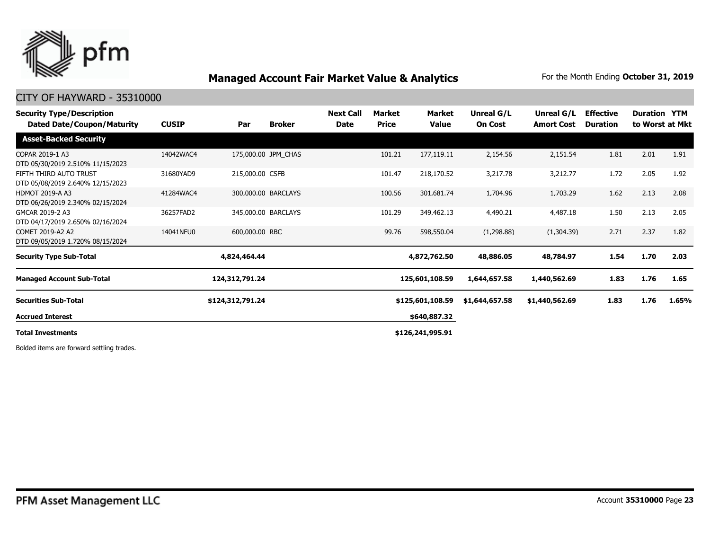

#### CITY OF HAYWARD - 35310000

| <b>Security Type/Description</b><br><b>Dated Date/Coupon/Maturity</b> | <b>CUSIP</b> | Par                 | <b>Broker</b>       | <b>Next Call</b><br>Date | Market<br><b>Price</b> | Market<br>Value  | Unreal G/L<br><b>On Cost</b> | Unreal G/L<br><b>Amort Cost</b> | <b>Effective</b><br><b>Duration</b> | <b>Duration YTM</b> | to Worst at Mkt |
|-----------------------------------------------------------------------|--------------|---------------------|---------------------|--------------------------|------------------------|------------------|------------------------------|---------------------------------|-------------------------------------|---------------------|-----------------|
| <b>Asset-Backed Security</b>                                          |              |                     |                     |                          |                        |                  |                              |                                 |                                     |                     |                 |
| COPAR 2019-1 A3<br>DTD 05/30/2019 2.510% 11/15/2023                   | 14042WAC4    |                     | 175,000.00 JPM_CHAS |                          | 101.21                 | 177,119.11       | 2,154.56                     | 2,151.54                        | 1.81                                | 2.01                | 1.91            |
| FIFTH THIRD AUTO TRUST<br>DTD 05/08/2019 2.640% 12/15/2023            | 31680YAD9    | 215,000.00 CSFB     |                     |                          | 101.47                 | 218,170.52       | 3,217.78                     | 3,212.77                        | 1.72                                | 2.05                | 1.92            |
| <b>HDMOT 2019-A A3</b><br>DTD 06/26/2019 2.340% 02/15/2024            | 41284WAC4    | 300,000.00 BARCLAYS |                     |                          | 100.56                 | 301,681.74       | 1,704.96                     | 1,703.29                        | 1.62                                | 2.13                | 2.08            |
| GMCAR 2019-2 A3<br>DTD 04/17/2019 2.650% 02/16/2024                   | 36257FAD2    | 345,000.00 BARCLAYS |                     |                          | 101.29                 | 349,462.13       | 4,490.21                     | 4,487.18                        | 1.50                                | 2.13                | 2.05            |
| COMET 2019-A2 A2<br>DTD 09/05/2019 1.720% 08/15/2024                  | 14041NFU0    | 600,000.00 RBC      |                     |                          | 99.76                  | 598,550.04       | (1,298.88)                   | (1,304.39)                      | 2.71                                | 2.37                | 1.82            |
| <b>Security Type Sub-Total</b>                                        |              | 4,824,464.44        |                     |                          |                        | 4,872,762.50     | 48,886.05                    | 48,784.97                       | 1.54                                | 1.70                | 2.03            |
| <b>Managed Account Sub-Total</b>                                      |              | 124,312,791.24      |                     |                          |                        | 125,601,108.59   | 1,644,657.58                 | 1,440,562.69                    | 1.83                                | 1.76                | 1.65            |
| <b>Securities Sub-Total</b>                                           |              | \$124,312,791.24    |                     |                          |                        | \$125,601,108.59 | \$1,644,657.58               | \$1,440,562.69                  | 1.83                                | 1.76                | 1.65%           |
| <b>Accrued Interest</b>                                               |              |                     |                     |                          |                        | \$640,887.32     |                              |                                 |                                     |                     |                 |
| <b>Total Investments</b>                                              |              |                     |                     |                          |                        | \$126,241,995.91 |                              |                                 |                                     |                     |                 |

Bolded items are forward settling trades.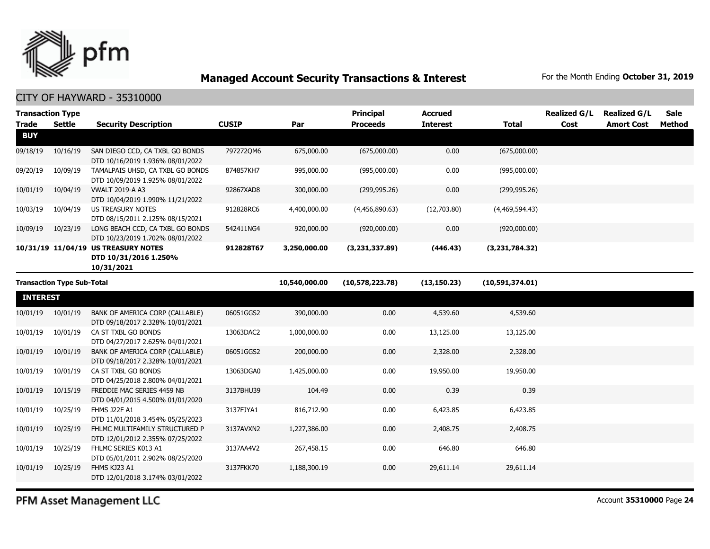

CITY OF HAYWARD - 35310000

| <b>Transaction Type</b> |                                   |                                                                            |              |               | <b>Principal</b> | <b>Accrued</b>  |                 | <b>Realized G/L</b> | <b>Realized G/L</b> | <b>Sale</b> |
|-------------------------|-----------------------------------|----------------------------------------------------------------------------|--------------|---------------|------------------|-----------------|-----------------|---------------------|---------------------|-------------|
| <b>Trade</b>            | <b>Settle</b>                     | <b>Security Description</b>                                                | <b>CUSIP</b> | Par           | <b>Proceeds</b>  | <b>Interest</b> | Total           | Cost                | <b>Amort Cost</b>   | Method      |
| <b>BUY</b>              |                                   |                                                                            |              |               |                  |                 |                 |                     |                     |             |
| 09/18/19                | 10/16/19                          | SAN DIEGO CCD, CA TXBL GO BONDS<br>DTD 10/16/2019 1.936% 08/01/2022        | 7972720M6    | 675,000.00    | (675,000.00)     | 0.00            | (675,000.00)    |                     |                     |             |
| 09/20/19                | 10/09/19                          | TAMALPAIS UHSD, CA TXBL GO BONDS<br>DTD 10/09/2019 1.925% 08/01/2022       | 874857KH7    | 995,000.00    | (995,000.00)     | 0.00            | (995,000.00)    |                     |                     |             |
| 10/01/19                | 10/04/19                          | <b>VWALT 2019-A A3</b><br>DTD 10/04/2019 1.990% 11/21/2022                 | 92867XAD8    | 300,000.00    | (299, 995.26)    | 0.00            | (299, 995.26)   |                     |                     |             |
| 10/03/19                | 10/04/19                          | <b>US TREASURY NOTES</b><br>DTD 08/15/2011 2.125% 08/15/2021               | 912828RC6    | 4,400,000.00  | (4,456,890.63)   | (12,703.80)     | (4,469,594.43)  |                     |                     |             |
| 10/09/19                | 10/23/19                          | LONG BEACH CCD, CA TXBL GO BONDS<br>DTD 10/23/2019 1.702% 08/01/2022       | 542411NG4    | 920,000.00    | (920,000.00)     | 0.00            | (920,000.00)    |                     |                     |             |
|                         |                                   | 10/31/19 11/04/19 US TREASURY NOTES<br>DTD 10/31/2016 1.250%<br>10/31/2021 | 912828T67    | 3,250,000.00  | (3,231,337.89)   | (446.43)        | (3,231,784.32)  |                     |                     |             |
|                         | <b>Transaction Type Sub-Total</b> |                                                                            |              | 10,540,000.00 | (10,578,223.78)  | (13, 150.23)    | (10,591,374.01) |                     |                     |             |
| <b>INTEREST</b>         |                                   |                                                                            |              |               |                  |                 |                 |                     |                     |             |
| 10/01/19                | 10/01/19                          | BANK OF AMERICA CORP (CALLABLE)<br>DTD 09/18/2017 2.328% 10/01/2021        | 06051GGS2    | 390,000.00    | 0.00             | 4,539.60        | 4,539.60        |                     |                     |             |
| 10/01/19                | 10/01/19                          | CA ST TXBL GO BONDS<br>DTD 04/27/2017 2.625% 04/01/2021                    | 13063DAC2    | 1,000,000.00  | 0.00             | 13,125.00       | 13,125.00       |                     |                     |             |
| 10/01/19                | 10/01/19                          | BANK OF AMERICA CORP (CALLABLE)<br>DTD 09/18/2017 2.328% 10/01/2021        | 06051GGS2    | 200,000.00    | 0.00             | 2,328.00        | 2,328.00        |                     |                     |             |
| 10/01/19                | 10/01/19                          | CA ST TXBL GO BONDS<br>DTD 04/25/2018 2.800% 04/01/2021                    | 13063DGA0    | 1,425,000.00  | 0.00             | 19,950.00       | 19,950.00       |                     |                     |             |
| 10/01/19                | 10/15/19                          | FREDDIE MAC SERIES 4459 NB<br>DTD 04/01/2015 4.500% 01/01/2020             | 3137BHU39    | 104.49        | 0.00             | 0.39            | 0.39            |                     |                     |             |
| 10/01/19                | 10/25/19                          | FHMS J22F A1<br>DTD 11/01/2018 3.454% 05/25/2023                           | 3137FJYA1    | 816,712.90    | 0.00             | 6,423.85        | 6,423.85        |                     |                     |             |
| 10/01/19                | 10/25/19                          | FHLMC MULTIFAMILY STRUCTURED P<br>DTD 12/01/2012 2.355% 07/25/2022         | 3137AVXN2    | 1,227,386.00  | 0.00             | 2,408.75        | 2,408.75        |                     |                     |             |
| 10/01/19                | 10/25/19                          | FHLMC SERIES K013 A1<br>DTD 05/01/2011 2.902% 08/25/2020                   | 3137AA4V2    | 267,458.15    | 0.00             | 646.80          | 646.80          |                     |                     |             |
| 10/01/19                | 10/25/19                          | FHMS KJ23 A1<br>DTD 12/01/2018 3.174% 03/01/2022                           | 3137FKK70    | 1,188,300.19  | 0.00             | 29,611.14       | 29,611.14       |                     |                     |             |

PFM Asset Management LLC

Account **35310000** Page **24**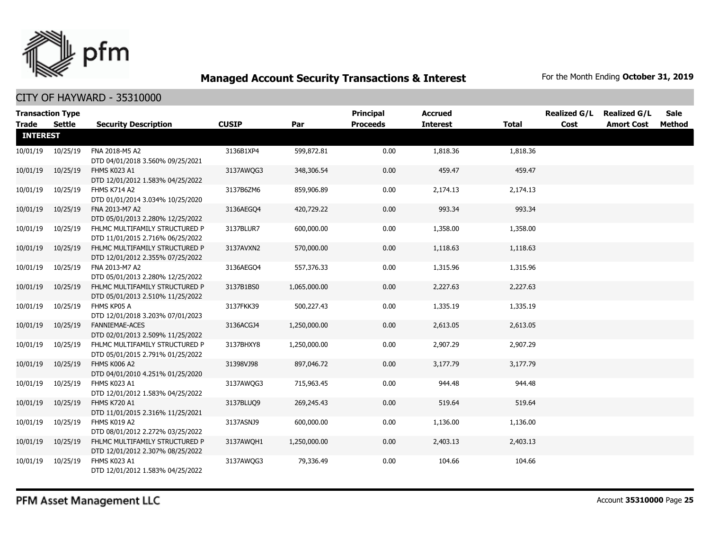

| <b>Trade</b>    | <b>Transaction Type</b><br>Settle | <b>Security Description</b>                                        | <b>CUSIP</b> | Par          | Principal<br><b>Proceeds</b> | <b>Accrued</b><br><b>Interest</b> | <b>Total</b> | <b>Realized G/L</b><br>Cost | <b>Realized G/L</b><br><b>Amort Cost</b> | <b>Sale</b><br>Method |
|-----------------|-----------------------------------|--------------------------------------------------------------------|--------------|--------------|------------------------------|-----------------------------------|--------------|-----------------------------|------------------------------------------|-----------------------|
| <b>INTEREST</b> |                                   |                                                                    |              |              |                              |                                   |              |                             |                                          |                       |
| 10/01/19        | 10/25/19                          | FNA 2018-M5 A2<br>DTD 04/01/2018 3.560% 09/25/2021                 | 3136B1XP4    | 599,872.81   | 0.00                         | 1,818.36                          | 1,818.36     |                             |                                          |                       |
| 10/01/19        | 10/25/19                          | FHMS K023 A1<br>DTD 12/01/2012 1.583% 04/25/2022                   | 3137AWOG3    | 348,306.54   | 0.00                         | 459.47                            | 459.47       |                             |                                          |                       |
| 10/01/19        | 10/25/19                          | FHMS K714 A2<br>DTD 01/01/2014 3.034% 10/25/2020                   | 3137B6ZM6    | 859,906.89   | 0.00                         | 2,174.13                          | 2,174.13     |                             |                                          |                       |
| 10/01/19        | 10/25/19                          | FNA 2013-M7 A2<br>DTD 05/01/2013 2.280% 12/25/2022                 | 3136AEGQ4    | 420,729.22   | 0.00                         | 993.34                            | 993.34       |                             |                                          |                       |
| 10/01/19        | 10/25/19                          | FHLMC MULTIFAMILY STRUCTURED P<br>DTD 11/01/2015 2.716% 06/25/2022 | 3137BLUR7    | 600,000.00   | 0.00                         | 1,358.00                          | 1,358.00     |                             |                                          |                       |
| 10/01/19        | 10/25/19                          | FHLMC MULTIFAMILY STRUCTURED P<br>DTD 12/01/2012 2.355% 07/25/2022 | 3137AVXN2    | 570,000.00   | 0.00                         | 1,118.63                          | 1,118.63     |                             |                                          |                       |
| 10/01/19        | 10/25/19                          | FNA 2013-M7 A2<br>DTD 05/01/2013 2.280% 12/25/2022                 | 3136AEGO4    | 557,376.33   | 0.00                         | 1,315.96                          | 1,315.96     |                             |                                          |                       |
| 10/01/19        | 10/25/19                          | FHLMC MULTIFAMILY STRUCTURED P<br>DTD 05/01/2013 2.510% 11/25/2022 | 3137B1BS0    | 1,065,000.00 | 0.00                         | 2,227.63                          | 2,227.63     |                             |                                          |                       |
| 10/01/19        | 10/25/19                          | FHMS KP05 A<br>DTD 12/01/2018 3.203% 07/01/2023                    | 3137FKK39    | 500,227.43   | 0.00                         | 1,335.19                          | 1,335.19     |                             |                                          |                       |
| 10/01/19        | 10/25/19                          | <b>FANNIEMAE-ACES</b><br>DTD 02/01/2013 2.509% 11/25/2022          | 3136ACGJ4    | 1,250,000.00 | 0.00                         | 2,613.05                          | 2,613.05     |                             |                                          |                       |
| 10/01/19        | 10/25/19                          | FHLMC MULTIFAMILY STRUCTURED P<br>DTD 05/01/2015 2.791% 01/25/2022 | 3137BHXY8    | 1,250,000.00 | 0.00                         | 2,907.29                          | 2,907.29     |                             |                                          |                       |
| 10/01/19        | 10/25/19                          | FHMS K006 A2<br>DTD 04/01/2010 4.251% 01/25/2020                   | 31398VJ98    | 897,046.72   | 0.00                         | 3,177.79                          | 3,177.79     |                             |                                          |                       |
| 10/01/19        | 10/25/19                          | FHMS K023 A1<br>DTD 12/01/2012 1.583% 04/25/2022                   | 3137AWQG3    | 715,963.45   | 0.00                         | 944.48                            | 944.48       |                             |                                          |                       |
| 10/01/19        | 10/25/19                          | <b>FHMS K720 A1</b><br>DTD 11/01/2015 2.316% 11/25/2021            | 3137BLUQ9    | 269,245.43   | 0.00                         | 519.64                            | 519.64       |                             |                                          |                       |
| 10/01/19        | 10/25/19                          | FHMS K019 A2<br>DTD 08/01/2012 2.272% 03/25/2022                   | 3137ASNJ9    | 600,000.00   | 0.00                         | 1,136.00                          | 1,136.00     |                             |                                          |                       |
| 10/01/19        | 10/25/19                          | FHLMC MULTIFAMILY STRUCTURED P<br>DTD 12/01/2012 2.307% 08/25/2022 | 3137AWQH1    | 1,250,000.00 | 0.00                         | 2,403.13                          | 2,403.13     |                             |                                          |                       |
| 10/01/19        | 10/25/19                          | FHMS K023 A1<br>DTD 12/01/2012 1.583% 04/25/2022                   | 3137AWQG3    | 79,336.49    | 0.00                         | 104.66                            | 104.66       |                             |                                          |                       |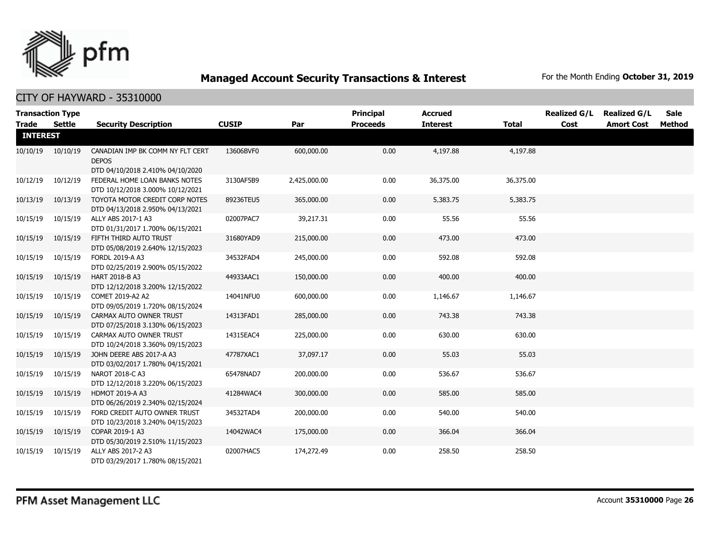

|                 | <b>Transaction Type</b> |                                                                                      |              |              | <b>Principal</b> | <b>Accrued</b>  |           | <b>Realized G/L</b> | <b>Realized G/L</b> | Sale          |
|-----------------|-------------------------|--------------------------------------------------------------------------------------|--------------|--------------|------------------|-----------------|-----------|---------------------|---------------------|---------------|
| Trade Settle    |                         | <b>Security Description</b>                                                          | <b>CUSIP</b> | Par          | <b>Proceeds</b>  | <b>Interest</b> | Total     | Cost                | <b>Amort Cost</b>   | <b>Method</b> |
| <b>INTEREST</b> |                         |                                                                                      |              |              |                  |                 |           |                     |                     |               |
| 10/10/19        | 10/10/19                | CANADIAN IMP BK COMM NY FLT CERT<br><b>DEPOS</b><br>DTD 04/10/2018 2.410% 04/10/2020 | 13606BVF0    | 600,000.00   | 0.00             | 4,197.88        | 4,197.88  |                     |                     |               |
| 10/12/19        | 10/12/19                | FEDERAL HOME LOAN BANKS NOTES<br>DTD 10/12/2018 3.000% 10/12/2021                    | 3130AF5B9    | 2,425,000.00 | 0.00             | 36,375.00       | 36,375.00 |                     |                     |               |
| 10/13/19        | 10/13/19                | TOYOTA MOTOR CREDIT CORP NOTES<br>DTD 04/13/2018 2.950% 04/13/2021                   | 89236TEU5    | 365,000.00   | 0.00             | 5,383.75        | 5,383.75  |                     |                     |               |
| 10/15/19        | 10/15/19                | ALLY ABS 2017-1 A3<br>DTD 01/31/2017 1.700% 06/15/2021                               | 02007PAC7    | 39,217.31    | 0.00             | 55.56           | 55.56     |                     |                     |               |
| 10/15/19        | 10/15/19                | FIFTH THIRD AUTO TRUST<br>DTD 05/08/2019 2.640% 12/15/2023                           | 31680YAD9    | 215,000.00   | 0.00             | 473.00          | 473.00    |                     |                     |               |
| 10/15/19        | 10/15/19                | FORDL 2019-A A3<br>DTD 02/25/2019 2.900% 05/15/2022                                  | 34532FAD4    | 245,000.00   | 0.00             | 592.08          | 592.08    |                     |                     |               |
| 10/15/19        | 10/15/19                | HART 2018-B A3<br>DTD 12/12/2018 3.200% 12/15/2022                                   | 44933AAC1    | 150,000.00   | 0.00             | 400.00          | 400.00    |                     |                     |               |
| 10/15/19        | 10/15/19                | COMET 2019-A2 A2<br>DTD 09/05/2019 1.720% 08/15/2024                                 | 14041NFU0    | 600,000.00   | 0.00             | 1,146.67        | 1,146.67  |                     |                     |               |
| 10/15/19        | 10/15/19                | CARMAX AUTO OWNER TRUST<br>DTD 07/25/2018 3.130% 06/15/2023                          | 14313FAD1    | 285,000.00   | 0.00             | 743.38          | 743.38    |                     |                     |               |
| 10/15/19        | 10/15/19                | CARMAX AUTO OWNER TRUST<br>DTD 10/24/2018 3.360% 09/15/2023                          | 14315EAC4    | 225,000.00   | 0.00             | 630.00          | 630.00    |                     |                     |               |
| 10/15/19        | 10/15/19                | JOHN DEERE ABS 2017-A A3<br>DTD 03/02/2017 1.780% 04/15/2021                         | 47787XAC1    | 37,097.17    | 0.00             | 55.03           | 55.03     |                     |                     |               |
| 10/15/19        | 10/15/19                | NAROT 2018-C A3<br>DTD 12/12/2018 3.220% 06/15/2023                                  | 65478NAD7    | 200,000.00   | 0.00             | 536.67          | 536.67    |                     |                     |               |
| 10/15/19        | 10/15/19                | <b>HDMOT 2019-A A3</b><br>DTD 06/26/2019 2.340% 02/15/2024                           | 41284WAC4    | 300,000.00   | 0.00             | 585.00          | 585.00    |                     |                     |               |
| 10/15/19        | 10/15/19                | FORD CREDIT AUTO OWNER TRUST<br>DTD 10/23/2018 3.240% 04/15/2023                     | 34532TAD4    | 200,000.00   | 0.00             | 540.00          | 540.00    |                     |                     |               |
| 10/15/19        | 10/15/19                | COPAR 2019-1 A3<br>DTD 05/30/2019 2.510% 11/15/2023                                  | 14042WAC4    | 175,000.00   | 0.00             | 366.04          | 366.04    |                     |                     |               |
| 10/15/19        | 10/15/19                | ALLY ABS 2017-2 A3<br>DTD 03/29/2017 1.780% 08/15/2021                               | 02007HAC5    | 174,272.49   | 0.00             | 258.50          | 258.50    |                     |                     |               |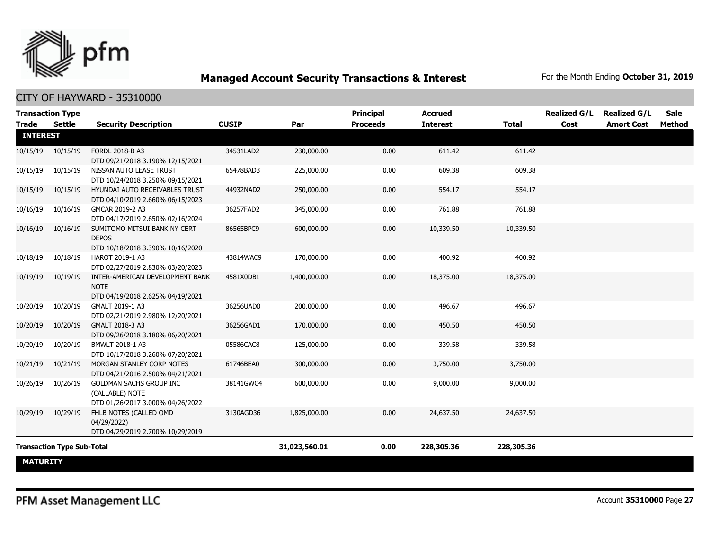

| <b>Transaction Type</b><br><b>Trade</b> | <b>Settle</b>                     | <b>Security Description</b>                                                        | <b>CUSIP</b> | Par           | <b>Principal</b><br><b>Proceeds</b> | <b>Accrued</b><br><b>Interest</b> | <b>Total</b> | <b>Realized G/L</b><br>Cost | <b>Realized G/L</b><br><b>Amort Cost</b> | Sale<br>Method |
|-----------------------------------------|-----------------------------------|------------------------------------------------------------------------------------|--------------|---------------|-------------------------------------|-----------------------------------|--------------|-----------------------------|------------------------------------------|----------------|
| <b>INTEREST</b>                         |                                   |                                                                                    |              |               |                                     |                                   |              |                             |                                          |                |
| 10/15/19                                | 10/15/19                          | FORDL 2018-B A3<br>DTD 09/21/2018 3.190% 12/15/2021                                | 34531LAD2    | 230,000.00    | 0.00                                | 611.42                            | 611.42       |                             |                                          |                |
| 10/15/19                                | 10/15/19                          | NISSAN AUTO LEASE TRUST<br>DTD 10/24/2018 3.250% 09/15/2021                        | 65478BAD3    | 225,000.00    | 0.00                                | 609.38                            | 609.38       |                             |                                          |                |
| 10/15/19                                | 10/15/19                          | HYUNDAI AUTO RECEIVABLES TRUST<br>DTD 04/10/2019 2.660% 06/15/2023                 | 44932NAD2    | 250,000.00    | 0.00                                | 554.17                            | 554.17       |                             |                                          |                |
| 10/16/19                                | 10/16/19                          | GMCAR 2019-2 A3<br>DTD 04/17/2019 2.650% 02/16/2024                                | 36257FAD2    | 345,000.00    | 0.00                                | 761.88                            | 761.88       |                             |                                          |                |
| 10/16/19                                | 10/16/19                          | SUMITOMO MITSUI BANK NY CERT<br><b>DEPOS</b>                                       | 86565BPC9    | 600,000.00    | 0.00                                | 10,339.50                         | 10,339.50    |                             |                                          |                |
| 10/18/19                                | 10/18/19                          | DTD 10/18/2018 3.390% 10/16/2020<br>HAROT 2019-1 A3                                | 43814WAC9    | 170,000.00    | 0.00                                | 400.92                            | 400.92       |                             |                                          |                |
|                                         |                                   | DTD 02/27/2019 2.830% 03/20/2023                                                   |              |               |                                     |                                   |              |                             |                                          |                |
| 10/19/19                                | 10/19/19                          | INTER-AMERICAN DEVELOPMENT BANK<br><b>NOTE</b><br>DTD 04/19/2018 2.625% 04/19/2021 | 4581X0DB1    | 1,400,000.00  | 0.00                                | 18,375.00                         | 18,375.00    |                             |                                          |                |
| 10/20/19                                | 10/20/19                          | GMALT 2019-1 A3<br>DTD 02/21/2019 2.980% 12/20/2021                                | 36256UAD0    | 200,000.00    | 0.00                                | 496.67                            | 496.67       |                             |                                          |                |
| 10/20/19                                | 10/20/19                          | GMALT 2018-3 A3<br>DTD 09/26/2018 3.180% 06/20/2021                                | 36256GAD1    | 170,000.00    | 0.00                                | 450.50                            | 450.50       |                             |                                          |                |
| 10/20/19                                | 10/20/19                          | BMWLT 2018-1 A3<br>DTD 10/17/2018 3.260% 07/20/2021                                | 05586CAC8    | 125,000.00    | 0.00                                | 339.58                            | 339.58       |                             |                                          |                |
| 10/21/19                                | 10/21/19                          | MORGAN STANLEY CORP NOTES<br>DTD 04/21/2016 2.500% 04/21/2021                      | 61746BEA0    | 300,000.00    | 0.00                                | 3,750.00                          | 3,750.00     |                             |                                          |                |
| 10/26/19                                | 10/26/19                          | GOLDMAN SACHS GROUP INC<br>(CALLABLE) NOTE<br>DTD 01/26/2017 3.000% 04/26/2022     | 38141GWC4    | 600,000.00    | 0.00                                | 9,000.00                          | 9,000.00     |                             |                                          |                |
| 10/29/19                                | 10/29/19                          | FHLB NOTES (CALLED OMD<br>04/29/2022)<br>DTD 04/29/2019 2.700% 10/29/2019          | 3130AGD36    | 1,825,000.00  | 0.00                                | 24,637.50                         | 24,637.50    |                             |                                          |                |
|                                         | <b>Transaction Type Sub-Total</b> |                                                                                    |              | 31,023,560.01 | 0.00                                | 228,305.36                        | 228,305.36   |                             |                                          |                |
| <b>MATURITY</b>                         |                                   |                                                                                    |              |               |                                     |                                   |              |                             |                                          |                |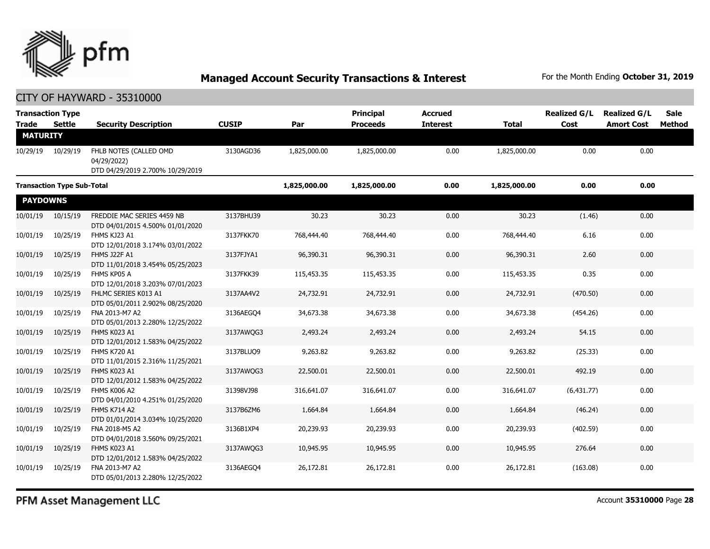

CITY OF HAYWARD - 35310000

| <b>Trade</b>    | <b>Transaction Type</b><br>Settle | <b>Security Description</b>                                               | <b>CUSIP</b> | Par          | Principal<br><b>Proceeds</b> | <b>Accrued</b><br><b>Interest</b> | <b>Total</b> | <b>Realized G/L</b><br>Cost | <b>Realized G/L</b><br><b>Amort Cost</b> | <b>Sale</b><br><b>Method</b> |
|-----------------|-----------------------------------|---------------------------------------------------------------------------|--------------|--------------|------------------------------|-----------------------------------|--------------|-----------------------------|------------------------------------------|------------------------------|
| <b>MATURITY</b> |                                   |                                                                           |              |              |                              |                                   |              |                             |                                          |                              |
| 10/29/19        | 10/29/19                          | FHLB NOTES (CALLED OMD<br>04/29/2022)<br>DTD 04/29/2019 2.700% 10/29/2019 | 3130AGD36    | 1,825,000.00 | 1,825,000.00                 | 0.00                              | 1,825,000.00 | 0.00                        | 0.00                                     |                              |
|                 | <b>Transaction Type Sub-Total</b> |                                                                           |              | 1,825,000.00 | 1,825,000.00                 | 0.00                              | 1,825,000.00 | 0.00                        | 0.00                                     |                              |
| <b>PAYDOWNS</b> |                                   |                                                                           |              |              |                              |                                   |              |                             |                                          |                              |
| 10/01/19        | 10/15/19                          | FREDDIE MAC SERIES 4459 NB<br>DTD 04/01/2015 4.500% 01/01/2020            | 3137BHU39    | 30.23        | 30.23                        | 0.00                              | 30.23        | (1.46)                      | 0.00                                     |                              |
| 10/01/19        | 10/25/19                          | FHMS KJ23 A1<br>DTD 12/01/2018 3.174% 03/01/2022                          | 3137FKK70    | 768,444.40   | 768,444.40                   | 0.00                              | 768,444.40   | 6.16                        | 0.00                                     |                              |
| 10/01/19        | 10/25/19                          | FHMS J22F A1<br>DTD 11/01/2018 3.454% 05/25/2023                          | 3137FJYA1    | 96,390.31    | 96,390.31                    | 0.00                              | 96,390.31    | 2.60                        | 0.00                                     |                              |
| 10/01/19        | 10/25/19                          | FHMS KP05 A<br>DTD 12/01/2018 3.203% 07/01/2023                           | 3137FKK39    | 115,453.35   | 115,453.35                   | 0.00                              | 115,453.35   | 0.35                        | 0.00                                     |                              |
| 10/01/19        | 10/25/19                          | FHLMC SERIES K013 A1<br>DTD 05/01/2011 2.902% 08/25/2020                  | 3137AA4V2    | 24,732.91    | 24,732.91                    | 0.00                              | 24,732.91    | (470.50)                    | 0.00                                     |                              |
| 10/01/19        | 10/25/19                          | FNA 2013-M7 A2<br>DTD 05/01/2013 2.280% 12/25/2022                        | 3136AEGO4    | 34,673.38    | 34,673.38                    | 0.00                              | 34,673.38    | (454.26)                    | 0.00                                     |                              |
| 10/01/19        | 10/25/19                          | FHMS K023 A1<br>DTD 12/01/2012 1.583% 04/25/2022                          | 3137AWOG3    | 2,493.24     | 2,493.24                     | 0.00                              | 2,493.24     | 54.15                       | 0.00                                     |                              |
| 10/01/19        | 10/25/19                          | FHMS K720 A1<br>DTD 11/01/2015 2.316% 11/25/2021                          | 3137BLUQ9    | 9,263.82     | 9,263.82                     | 0.00                              | 9,263.82     | (25.33)                     | 0.00                                     |                              |
| 10/01/19        | 10/25/19                          | FHMS K023 A1<br>DTD 12/01/2012 1.583% 04/25/2022                          | 3137AWQG3    | 22,500.01    | 22,500.01                    | 0.00                              | 22,500.01    | 492.19                      | 0.00                                     |                              |
| 10/01/19        | 10/25/19                          | FHMS K006 A2<br>DTD 04/01/2010 4.251% 01/25/2020                          | 31398VJ98    | 316,641.07   | 316,641.07                   | 0.00                              | 316,641.07   | (6,431.77)                  | 0.00                                     |                              |
| 10/01/19        | 10/25/19                          | <b>FHMS K714 A2</b><br>DTD 01/01/2014 3.034% 10/25/2020                   | 3137B6ZM6    | 1,664.84     | 1,664.84                     | 0.00                              | 1,664.84     | (46.24)                     | 0.00                                     |                              |
| 10/01/19        | 10/25/19                          | FNA 2018-M5 A2<br>DTD 04/01/2018 3.560% 09/25/2021                        | 3136B1XP4    | 20,239.93    | 20,239.93                    | 0.00                              | 20,239.93    | (402.59)                    | 0.00                                     |                              |
| 10/01/19        | 10/25/19                          | FHMS K023 A1<br>DTD 12/01/2012 1.583% 04/25/2022                          | 3137AWQG3    | 10,945.95    | 10,945.95                    | 0.00                              | 10,945.95    | 276.64                      | 0.00                                     |                              |
| 10/01/19        | 10/25/19                          | FNA 2013-M7 A2<br>DTD 05/01/2013 2.280% 12/25/2022                        | 3136AEGQ4    | 26,172.81    | 26,172.81                    | 0.00                              | 26,172.81    | (163.08)                    | 0.00                                     |                              |

PFM Asset Management LLC

Account **35310000** Page **28**